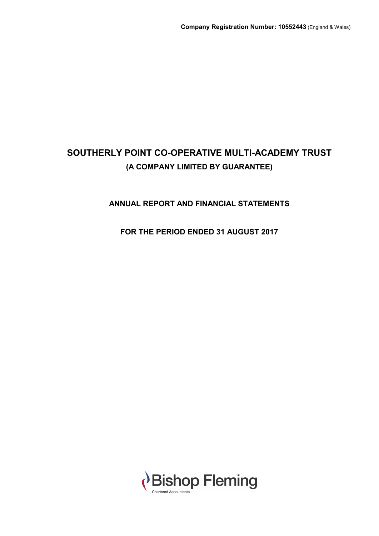## **ANNUAL REPORT AND FINANCIAL STATEMENTS**

## **FOR THE PERIOD ENDED 31 AUGUST 2017**

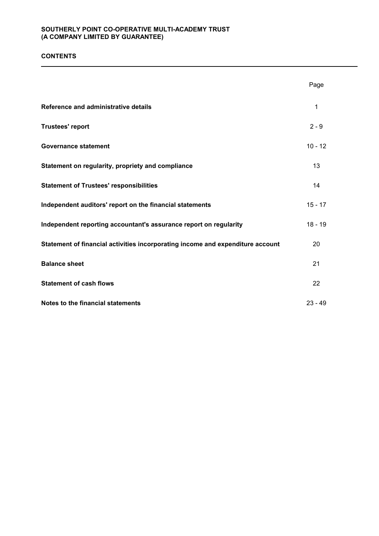## **CONTENTS**

|                                                                                | Page      |
|--------------------------------------------------------------------------------|-----------|
| Reference and administrative details                                           | 1         |
| <b>Trustees' report</b>                                                        | $2 - 9$   |
| <b>Governance statement</b>                                                    | $10 - 12$ |
| Statement on regularity, propriety and compliance                              | 13        |
| <b>Statement of Trustees' responsibilities</b>                                 | 14        |
| Independent auditors' report on the financial statements                       | $15 - 17$ |
| Independent reporting accountant's assurance report on regularity              | $18 - 19$ |
| Statement of financial activities incorporating income and expenditure account | 20        |
| <b>Balance sheet</b>                                                           | 21        |
| <b>Statement of cash flows</b>                                                 | 22        |
| Notes to the financial statements                                              | $23 - 49$ |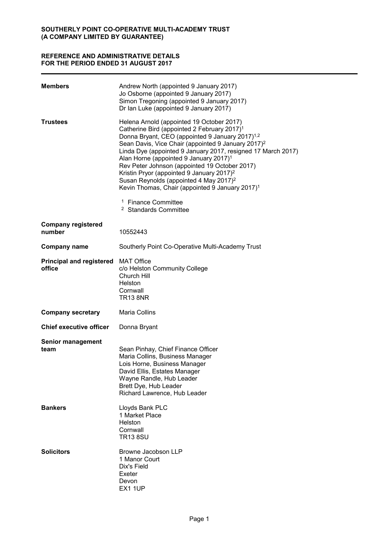## **REFERENCE AND ADMINISTRATIVE DETAILS FOR THE PERIOD ENDED 31 AUGUST 2017**

| <b>Members</b>                            | Andrew North (appointed 9 January 2017)<br>Jo Osborne (appointed 9 January 2017)<br>Simon Tregoning (appointed 9 January 2017)<br>Dr Ian Luke (appointed 9 January 2017)                                                                                                                                                                                                                                                                                                                                                                                                                   |
|-------------------------------------------|--------------------------------------------------------------------------------------------------------------------------------------------------------------------------------------------------------------------------------------------------------------------------------------------------------------------------------------------------------------------------------------------------------------------------------------------------------------------------------------------------------------------------------------------------------------------------------------------|
| <b>Trustees</b>                           | Helena Arnold (appointed 19 October 2017)<br>Catherine Bird (appointed 2 February 2017) <sup>1</sup><br>Donna Bryant, CEO (appointed 9 January 2017) <sup>1,2</sup><br>Sean Davis, Vice Chair (appointed 9 January 2017) <sup>2</sup><br>Linda Dye (appointed 9 January 2017, resigned 17 March 2017)<br>Alan Horne (appointed 9 January 2017) <sup>1</sup><br>Rev Peter Johnson (appointed 19 October 2017)<br>Kristin Pryor (appointed 9 January 2017) <sup>2</sup><br>Susan Reynolds (appointed 4 May 2017) <sup>2</sup><br>Kevin Thomas, Chair (appointed 9 January 2017) <sup>1</sup> |
|                                           | <sup>1</sup> Finance Committee<br><sup>2</sup> Standards Committee                                                                                                                                                                                                                                                                                                                                                                                                                                                                                                                         |
| <b>Company registered</b><br>number       | 10552443                                                                                                                                                                                                                                                                                                                                                                                                                                                                                                                                                                                   |
| <b>Company name</b>                       | Southerly Point Co-Operative Multi-Academy Trust                                                                                                                                                                                                                                                                                                                                                                                                                                                                                                                                           |
| <b>Principal and registered</b><br>office | <b>MAT Office</b><br>c/o Helston Community College<br>Church Hill<br>Helston<br>Cornwall<br><b>TR13 8NR</b>                                                                                                                                                                                                                                                                                                                                                                                                                                                                                |
| <b>Company secretary</b>                  | <b>Maria Collins</b>                                                                                                                                                                                                                                                                                                                                                                                                                                                                                                                                                                       |
| <b>Chief executive officer</b>            | Donna Bryant                                                                                                                                                                                                                                                                                                                                                                                                                                                                                                                                                                               |
| <b>Senior management</b><br>team          | Sean Pinhay, Chief Finance Officer<br>Maria Collins, Business Manager<br>Lois Horne, Business Manager<br>David Ellis, Estates Manager<br>Wayne Randle, Hub Leader<br>Brett Dye, Hub Leader<br>Richard Lawrence, Hub Leader                                                                                                                                                                                                                                                                                                                                                                 |
| <b>Bankers</b>                            | Lloyds Bank PLC<br>1 Market Place<br>Helston<br>Cornwall<br><b>TR13 8SU</b>                                                                                                                                                                                                                                                                                                                                                                                                                                                                                                                |
| <b>Solicitors</b>                         | Browne Jacobson LLP<br>1 Manor Court<br>Dix's Field<br>Exeter<br>Devon<br>EX1 1UP                                                                                                                                                                                                                                                                                                                                                                                                                                                                                                          |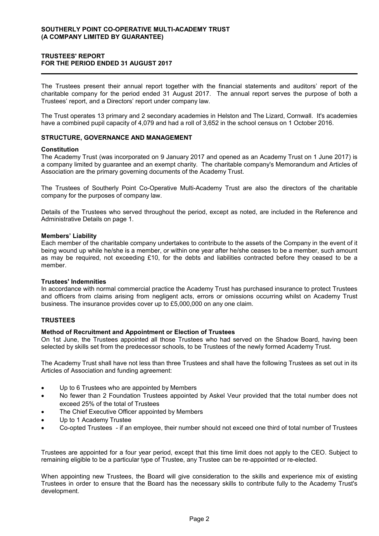## **TRUSTEES' REPORT FOR THE PERIOD ENDED 31 AUGUST 2017**

The Trustees present their annual report together with the financial statements and auditors' report of the charitable company for the period ended 31 August 2017. The annual report serves the purpose of both a Trustees' report, and a Directors' report under company law.

The Trust operates 13 primary and 2 secondary academies in Helston and The Lizard, Cornwall. It's academies have a combined pupil capacity of 4,079 and had a roll of 3,652 in the school census on 1 October 2016.

#### **STRUCTURE, GOVERNANCE AND MANAGEMENT**

#### **Constitution**

The Academy Trust (was incorporated on 9 January 2017 and opened as an Academy Trust on 1 June 2017) is a company limited by guarantee and an exempt charity. The charitable company's Memorandum and Articles of Association are the primary governing documents of the Academy Trust.

The Trustees of Southerly Point Co-Operative Multi-Academy Trust are also the directors of the charitable company for the purposes of company law.

Details of the Trustees who served throughout the period, except as noted, are included in the Reference and Administrative Details on page 1.

#### **Members' Liability**

Each member of the charitable company undertakes to contribute to the assets of the Company in the event of it being wound up while he/she is a member, or within one year after he/she ceases to be a member, such amount as may be required, not exceeding £10, for the debts and liabilities contracted before they ceased to be a member.

#### **Trustees' Indemnities**

In accordance with normal commercial practice the Academy Trust has purchased insurance to protect Trustees and officers from claims arising from negligent acts, errors or omissions occurring whilst on Academy Trust business. The insurance provides cover up to £5,000,000 on any one claim.

#### **TRUSTEES**

#### **Method of Recruitment and Appointment or Election of Trustees**

On 1st June, the Trustees appointed all those Trustees who had served on the Shadow Board, having been selected by skills set from the predecessor schools, to be Trustees of the newly formed Academy Trust.

The Academy Trust shall have not less than three Trustees and shall have the following Trustees as set out in its Articles of Association and funding agreement:

- Up to 6 Trustees who are appointed by Members
- No fewer than 2 Foundation Trustees appointed by Askel Veur provided that the total number does not exceed 25% of the total of Trustees
- The Chief Executive Officer appointed by Members
- Up to 1 Academy Trustee
- Co-opted Trustees if an employee, their number should not exceed one third of total number of Trustees

Trustees are appointed for a four year period, except that this time limit does not apply to the CEO. Subject to remaining eligible to be a particular type of Trustee, any Trustee can be re-appointed or re-elected.

When appointing new Trustees, the Board will give consideration to the skills and experience mix of existing Trustees in order to ensure that the Board has the necessary skills to contribute fully to the Academy Trust's development.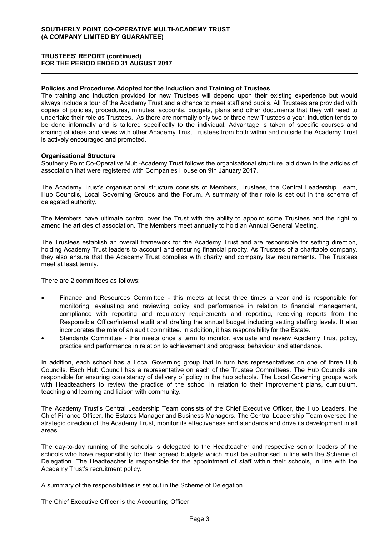## **TRUSTEES' REPORT (continued) FOR THE PERIOD ENDED 31 AUGUST 2017**

#### **Policies and Procedures Adopted for the Induction and Training of Trustees**

The training and induction provided for new Trustees will depend upon their existing experience but would always include a tour of the Academy Trust and a chance to meet staff and pupils. All Trustees are provided with copies of policies, procedures, minutes, accounts, budgets, plans and other documents that they will need to undertake their role as Trustees. As there are normally only two or three new Trustees a year, induction tends to be done informally and is tailored specifically to the individual. Advantage is taken of specific courses and sharing of ideas and views with other Academy Trust Trustees from both within and outside the Academy Trust is actively encouraged and promoted.

#### **Organisational Structure**

Southerly Point Co-Operative Multi-Academy Trust follows the organisational structure laid down in the articles of association that were registered with Companies House on 9th January 2017.

The Academy Trust's organisational structure consists of Members, Trustees, the Central Leadership Team, Hub Councils, Local Governing Groups and the Forum. A summary of their role is set out in the scheme of delegated authority.

The Members have ultimate control over the Trust with the ability to appoint some Trustees and the right to amend the articles of association. The Members meet annually to hold an Annual General Meeting.

The Trustees establish an overall framework for the Academy Trust and are responsible for setting direction, holding Academy Trust leaders to account and ensuring financial probity. As Trustees of a charitable company, they also ensure that the Academy Trust complies with charity and company law requirements. The Trustees meet at least termly.

There are 2 committees as follows:

- Finance and Resources Committee this meets at least three times a year and is responsible for monitoring, evaluating and reviewing policy and performance in relation to financial management, compliance with reporting and regulatory requirements and reporting, receiving reports from the Responsible Officer/internal audit and drafting the annual budget including setting staffing levels. It also incorporates the role of an audit committee. In addition, it has responsibility for the Estate.
- Standards Committee this meets once a term to monitor, evaluate and review Academy Trust policy, practice and performance in relation to achievement and progress; behaviour and attendance.

In addition, each school has a Local Governing group that in turn has representatives on one of three Hub Councils. Each Hub Council has a representative on each of the Trustee Committees. The Hub Councils are responsible for ensuring consistency of delivery of policy in the hub schools. The Local Governing groups work with Headteachers to review the practice of the school in relation to their improvement plans, curriculum, teaching and learning and liaison with community.

The Academy Trust's Central Leadership Team consists of the Chief Executive Officer, the Hub Leaders, the Chief Finance Officer, the Estates Manager and Business Managers. The Central Leadership Team oversee the strategic direction of the Academy Trust, monitor its effectiveness and standards and drive its development in all areas.

The day-to-day running of the schools is delegated to the Headteacher and respective senior leaders of the schools who have responsibility for their agreed budgets which must be authorised in line with the Scheme of Delegation. The Headteacher is responsible for the appointment of staff within their schools, in line with the Academy Trust's recruitment policy.

A summary of the responsibilities is set out in the Scheme of Delegation.

The Chief Executive Officer is the Accounting Officer.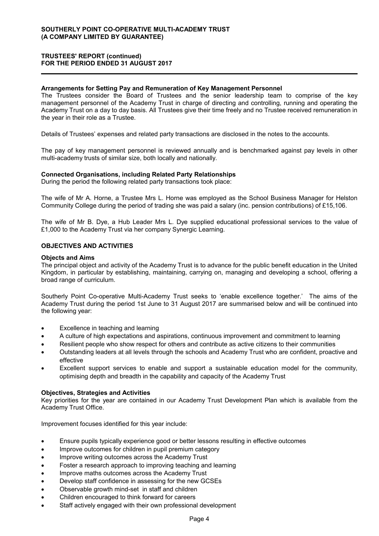## **TRUSTEES' REPORT (continued) FOR THE PERIOD ENDED 31 AUGUST 2017**

#### **Arrangements for Setting Pay and Remuneration of Key Management Personnel**

The Trustees consider the Board of Trustees and the senior leadership team to comprise of the key management personnel of the Academy Trust in charge of directing and controlling, running and operating the Academy Trust on a day to day basis. All Trustees give their time freely and no Trustee received remuneration in the year in their role as a Trustee.

Details of Trustees' expenses and related party transactions are disclosed in the notes to the accounts.

The pay of key management personnel is reviewed annually and is benchmarked against pay levels in other multi-academy trusts of similar size, both locally and nationally.

#### **Connected Organisations, including Related Party Relationships**

During the period the following related party transactions took place:

The wife of Mr A. Horne, a Trustee Mrs L. Horne was employed as the School Business Manager for Helston Community College during the period of trading she was paid a salary (inc. pension contributions) of £15,106.

The wife of Mr B. Dye, a Hub Leader Mrs L. Dye supplied educational professional services to the value of £1,000 to the Academy Trust via her company Synergic Learning.

#### **OBJECTIVES AND ACTIVITIES**

#### **Objects and Aims**

The principal object and activity of the Academy Trust is to advance for the public benefit education in the United Kingdom, in particular by establishing, maintaining, carrying on, managing and developing a school, offering a broad range of curriculum.

Southerly Point Co-operative Multi-Academy Trust seeks to 'enable excellence together.' The aims of the Academy Trust during the period 1st June to 31 August 2017 are summarised below and will be continued into the following year:

- Excellence in teaching and learning
- A culture of high expectations and aspirations, continuous improvement and commitment to learning
- Resilient people who show respect for others and contribute as active citizens to their communities
- Outstanding leaders at all levels through the schools and Academy Trust who are confident, proactive and effective
- Excellent support services to enable and support a sustainable education model for the community, optimising depth and breadth in the capability and capacity of the Academy Trust

#### **Objectives, Strategies and Activities**

Key priorities for the year are contained in our Academy Trust Development Plan which is available from the Academy Trust Office.

Improvement focuses identified for this year include:

- Ensure pupils typically experience good or better lessons resulting in effective outcomes
- Improve outcomes for children in pupil premium category
- Improve writing outcomes across the Academy Trust
- Foster a research approach to improving teaching and learning
- Improve maths outcomes across the Academy Trust
- Develop staff confidence in assessing for the new GCSEs
- Observable growth mind-set in staff and children
- Children encouraged to think forward for careers
- Staff actively engaged with their own professional development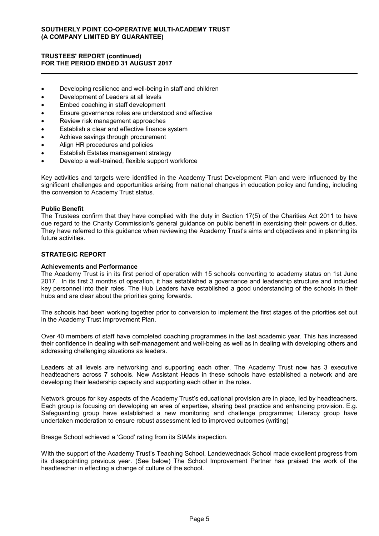## **TRUSTEES' REPORT (continued) FOR THE PERIOD ENDED 31 AUGUST 2017**

- Developing resilience and well-being in staff and children
- Development of Leaders at all levels
- Embed coaching in staff development
- Ensure governance roles are understood and effective
- Review risk management approaches
- Establish a clear and effective finance system
- Achieve savings through procurement
- Align HR procedures and policies
- Establish Estates management strategy
- Develop a well-trained, flexible support workforce

Key activities and targets were identified in the Academy Trust Development Plan and were influenced by the significant challenges and opportunities arising from national changes in education policy and funding, including the conversion to Academy Trust status.

### **Public Benefit**

The Trustees confirm that they have complied with the duty in Section 17(5) of the Charities Act 2011 to have due regard to the Charity Commission's general guidance on public benefit in exercising their powers or duties. They have referred to this guidance when reviewing the Academy Trust's aims and objectives and in planning its future activities.

## **STRATEGIC REPORT**

#### **Achievements and Performance**

The Academy Trust is in its first period of operation with 15 schools converting to academy status on 1st June 2017. In its first 3 months of operation, it has established a governance and leadership structure and inducted key personnel into their roles. The Hub Leaders have established a good understanding of the schools in their hubs and are clear about the priorities going forwards.

The schools had been working together prior to conversion to implement the first stages of the priorities set out in the Academy Trust Improvement Plan.

Over 40 members of staff have completed coaching programmes in the last academic year. This has increased their confidence in dealing with self-management and well-being as well as in dealing with developing others and addressing challenging situations as leaders.

Leaders at all levels are networking and supporting each other. The Academy Trust now has 3 executive headteachers across 7 schools. New Assistant Heads in these schools have established a network and are developing their leadership capacity and supporting each other in the roles.

Network groups for key aspects of the Academy Trust's educational provision are in place, led by headteachers. Each group is focusing on developing an area of expertise, sharing best practice and enhancing provision. E.g. Safeguarding group have established a new monitoring and challenge programme; Literacy group have undertaken moderation to ensure robust assessment led to improved outcomes (writing)

Breage School achieved a 'Good' rating from its SIAMs inspection.

With the support of the Academy Trust's Teaching School, Landewednack School made excellent progress from its disappointing previous year. (See below) The School Improvement Partner has praised the work of the headteacher in effecting a change of culture of the school.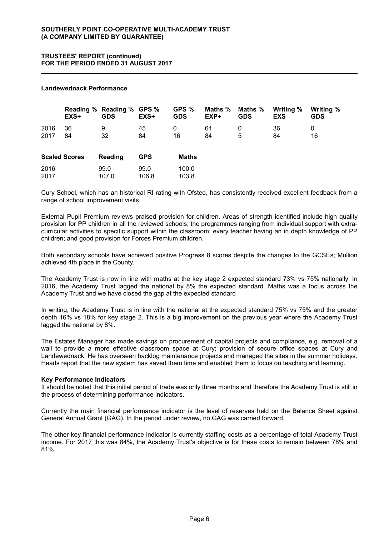## **TRUSTEES' REPORT (continued) FOR THE PERIOD ENDED 31 AUGUST 2017**

#### **Landewednack Performance**

|                      | EXS+     | Reading % Reading % GPS %<br><b>GDS</b> | EXS+          | GPS %<br><b>GDS</b> | Maths %<br>$EXP+$ | Maths %<br><b>GDS</b> | Writing %<br><b>EXS</b> | Writing %<br><b>GDS</b> |
|----------------------|----------|-----------------------------------------|---------------|---------------------|-------------------|-----------------------|-------------------------|-------------------------|
| 2016<br>2017         | 36<br>84 | 9<br>32                                 | 45<br>84      | 0<br>16             | 64<br>84          | 0<br>5                | 36<br>84                | 0<br>16                 |
| <b>Scaled Scores</b> |          | Reading                                 | <b>GPS</b>    | Maths               |                   |                       |                         |                         |
| 2016<br>2017         |          | 99.0<br>107.0                           | 99.0<br>106.8 | 100.0<br>103.8      |                   |                       |                         |                         |

Cury School, which has an historical RI rating with Ofsted, has consistently received excellent feedback from a range of school improvement visits.

External Pupil Premium reviews praised provision for children. Areas of strength identified include high quality provision for PP children in all the reviewed schools; the programmes ranging from individual support with extracurricular activities to specific support within the classroom; every teacher having an in depth knowledge of PP children; and good provision for Forces Premium children.

Both secondary schools have achieved positive Progress 8 scores despite the changes to the GCSEs; Mullion achieved 4th place in the County.

The Academy Trust is now in line with maths at the key stage 2 expected standard 73% vs 75% nationally. In 2016, the Academy Trust lagged the national by 8% the expected standard. Maths was a focus across the Academy Trust and we have closed the gap at the expected standard

In writing, the Academy Trust is in line with the national at the expected standard 75% vs 75% and the greater depth 16% vs 18% for key stage 2. This is a big improvement on the previous year where the Academy Trust lagged the national by 8%.

The Estates Manager has made savings on procurement of capital projects and compliance, e.g. removal of a wall to provide a more effective classroom space at Cury; provision of secure office spaces at Cury and Landewednack. He has overseen backlog maintenance projects and managed the sites in the summer holidays. Heads report that the new system has saved them time and enabled them to focus on teaching and learning.

#### **Key Performance Indicators**

It should be noted that this initial period of trade was only three months and therefore the Academy Trust is still in the process of determining performance indicators.

Currently the main financial performance indicator is the level of reserves held on the Balance Sheet against General Annual Grant (GAG). In the period under review, no GAG was carried forward.

The other key financial performance indicator is currently staffing costs as a percentage of total Academy Trust income. For 2017 this was 84%, the Academy Trust's objective is for these costs to remain between 78% and 81%.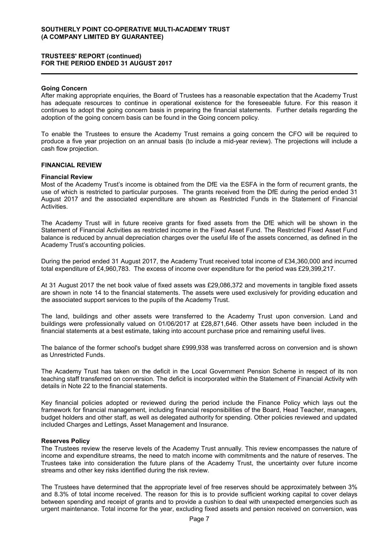### **TRUSTEES' REPORT (continued) FOR THE PERIOD ENDED 31 AUGUST 2017**

## **Going Concern**

After making appropriate enquiries, the Board of Trustees has a reasonable expectation that the Academy Trust has adequate resources to continue in operational existence for the foreseeable future. For this reason it continues to adopt the going concern basis in preparing the financial statements. Further details regarding the adoption of the going concern basis can be found in the Going concern policy.

To enable the Trustees to ensure the Academy Trust remains a going concern the CFO will be required to produce a five year projection on an annual basis (to include a mid-year review). The projections will include a cash flow projection.

## **FINANCIAL REVIEW**

#### **Financial Review**

Most of the Academy Trust's income is obtained from the DfE via the ESFA in the form of recurrent grants, the use of which is restricted to particular purposes. The grants received from the DfE during the period ended 31 August 2017 and the associated expenditure are shown as Restricted Funds in the Statement of Financial Activities.

The Academy Trust will in future receive grants for fixed assets from the DfE which will be shown in the Statement of Financial Activities as restricted income in the Fixed Asset Fund. The Restricted Fixed Asset Fund balance is reduced by annual depreciation charges over the useful life of the assets concerned, as defined in the Academy Trust's accounting policies.

During the period ended 31 August 2017, the Academy Trust received total income of £34,360,000 and incurred total expenditure of £4,960,783. The excess of income over expenditure for the period was £29,399,217.

At 31 August 2017 the net book value of fixed assets was £29,086,372 and movements in tangible fixed assets are shown in note 14 to the financial statements. The assets were used exclusively for providing education and the associated support services to the pupils of the Academy Trust.

The land, buildings and other assets were transferred to the Academy Trust upon conversion. Land and buildings were professionally valued on 01/06/2017 at £28,871,646. Other assets have been included in the financial statements at a best estimate, taking into account purchase price and remaining useful lives.

The balance of the former school's budget share £999,938 was transferred across on conversion and is shown as Unrestricted Funds.

The Academy Trust has taken on the deficit in the Local Government Pension Scheme in respect of its non teaching staff transferred on conversion. The deficit is incorporated within the Statement of Financial Activity with details in Note 22 to the financial statements.

Key financial policies adopted or reviewed during the period include the Finance Policy which lays out the framework for financial management, including financial responsibilities of the Board, Head Teacher, managers, budget holders and other staff, as well as delegated authority for spending. Other policies reviewed and updated included Charges and Lettings, Asset Management and Insurance.

#### **Reserves Policy**

The Trustees review the reserve levels of the Academy Trust annually. This review encompasses the nature of income and expenditure streams, the need to match income with commitments and the nature of reserves. The Trustees take into consideration the future plans of the Academy Trust, the uncertainty over future income streams and other key risks identified during the risk review.

The Trustees have determined that the appropriate level of free reserves should be approximately between 3% and 8.3% of total income received. The reason for this is to provide sufficient working capital to cover delays between spending and receipt of grants and to provide a cushion to deal with unexpected emergencies such as urgent maintenance. Total income for the year, excluding fixed assets and pension received on conversion, was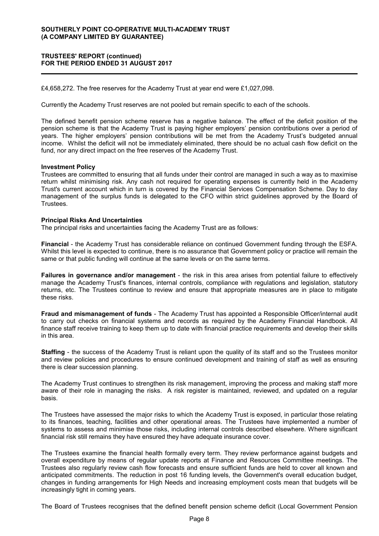## **TRUSTEES' REPORT (continued) FOR THE PERIOD ENDED 31 AUGUST 2017**

£4,658,272. The free reserves for the Academy Trust at year end were £1,027,098.

Currently the Academy Trust reserves are not pooled but remain specific to each of the schools.

The defined benefit pension scheme reserve has a negative balance. The effect of the deficit position of the pension scheme is that the Academy Trust is paying higher employers' pension contributions over a period of years. The higher employers' pension contributions will be met from the Academy Trust's budgeted annual income. Whilst the deficit will not be immediately eliminated, there should be no actual cash flow deficit on the fund, nor any direct impact on the free reserves of the Academy Trust.

#### **Investment Policy**

Trustees are committed to ensuring that all funds under their control are managed in such a way as to maximise return whilst minimising risk. Any cash not required for operating expenses is currently held in the Academy Trust's current account which in turn is covered by the Financial Services Compensation Scheme. Day to day management of the surplus funds is delegated to the CFO within strict guidelines approved by the Board of Trustees.

#### **Principal Risks And Uncertainties**

The principal risks and uncertainties facing the Academy Trust are as follows:

**Financial** - the Academy Trust has considerable reliance on continued Government funding through the ESFA. Whilst this level is expected to continue, there is no assurance that Government policy or practice will remain the same or that public funding will continue at the same levels or on the same terms.

**Failures in governance and/or management** - the risk in this area arises from potential failure to effectively manage the Academy Trust's finances, internal controls, compliance with regulations and legislation, statutory returns, etc. The Trustees continue to review and ensure that appropriate measures are in place to mitigate these risks.

**Fraud and mismanagement of funds** - The Academy Trust has appointed a Responsible Officer/internal audit to carry out checks on financial systems and records as required by the Academy Financial Handbook. All finance staff receive training to keep them up to date with financial practice requirements and develop their skills in this area.

**Staffing** - the success of the Academy Trust is reliant upon the quality of its staff and so the Trustees monitor and review policies and procedures to ensure continued development and training of staff as well as ensuring there is clear succession planning.

The Academy Trust continues to strengthen its risk management, improving the process and making staff more aware of their role in managing the risks. A risk register is maintained, reviewed, and updated on a regular basis.

The Trustees have assessed the major risks to which the Academy Trust is exposed, in particular those relating to its finances, teaching, facilities and other operational areas. The Trustees have implemented a number of systems to assess and minimise those risks, including internal controls described elsewhere. Where significant financial risk still remains they have ensured they have adequate insurance cover.

The Trustees examine the financial health formally every term. They review performance against budgets and overall expenditure by means of regular update reports at Finance and Resources Committee meetings. The Trustees also regularly review cash flow forecasts and ensure sufficient funds are held to cover all known and anticipated commitments. The reduction in post 16 funding levels, the Government's overall education budget, changes in funding arrangements for High Needs and increasing employment costs mean that budgets will be increasingly tight in coming years.

The Board of Trustees recognises that the defined benefit pension scheme deficit (Local Government Pension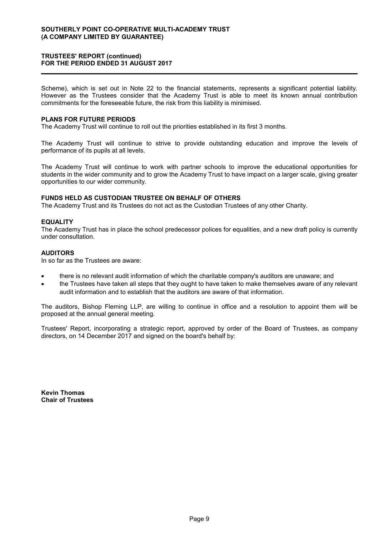### **TRUSTEES' REPORT (continued) FOR THE PERIOD ENDED 31 AUGUST 2017**

Scheme), which is set out in Note 22 to the financial statements, represents a significant potential liability. However as the Trustees consider that the Academy Trust is able to meet its known annual contribution commitments for the foreseeable future, the risk from this liability is minimised.

#### **PLANS FOR FUTURE PERIODS**

The Academy Trust will continue to roll out the priorities established in its first 3 months.

The Academy Trust will continue to strive to provide outstanding education and improve the levels of performance of its pupils at all levels.

The Academy Trust will continue to work with partner schools to improve the educational opportunities for students in the wider community and to grow the Academy Trust to have impact on a larger scale, giving greater opportunities to our wider community.

## **FUNDS HELD AS CUSTODIAN TRUSTEE ON BEHALF OF OTHERS**

The Academy Trust and its Trustees do not act as the Custodian Trustees of any other Charity.

### **EQUALITY**

The Academy Trust has in place the school predecessor polices for equalities, and a new draft policy is currently under consultation.

### **AUDITORS**

In so far as the Trustees are aware:

- there is no relevant audit information of which the charitable company's auditors are unaware; and
- the Trustees have taken all steps that they ought to have taken to make themselves aware of any relevant audit information and to establish that the auditors are aware of that information.

The auditors, Bishop Fleming LLP, are willing to continue in office and a resolution to appoint them will be proposed at the annual general meeting.

Trustees' Report, incorporating a strategic report, approved by order of the Board of Trustees, as company directors, on 14 December 2017 and signed on the board's behalf by:

**Kevin Thomas Chair of Trustees**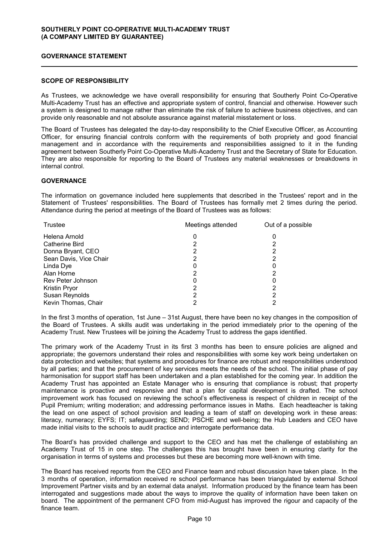## **GOVERNANCE STATEMENT**

### **SCOPE OF RESPONSIBILITY**

As Trustees, we acknowledge we have overall responsibility for ensuring that Southerly Point Co-Operative Multi-Academy Trust has an effective and appropriate system of control, financial and otherwise. However such a system is designed to manage rather than eliminate the risk of failure to achieve business objectives, and can provide only reasonable and not absolute assurance against material misstatement or loss.

The Board of Trustees has delegated the day-to-day responsibility to the Chief Executive Officer, as Accounting Officer, for ensuring financial controls conform with the requirements of both propriety and good financial management and in accordance with the requirements and responsibilities assigned to it in the funding agreement between Southerly Point Co-Operative Multi-Academy Trust and the Secretary of State for Education. They are also responsible for reporting to the Board of Trustees any material weaknesses or breakdowns in internal control.

### **GOVERNANCE**

The information on governance included here supplements that described in the Trustees' report and in the Statement of Trustees' responsibilities. The Board of Trustees has formally met 2 times during the period. Attendance during the period at meetings of the Board of Trustees was as follows:

| Trustee                | Meetings attended | Out of a possible |  |
|------------------------|-------------------|-------------------|--|
| Helena Arnold          |                   |                   |  |
| Catherine Bird         |                   |                   |  |
| Donna Bryant, CEO      |                   |                   |  |
| Sean Davis, Vice Chair |                   |                   |  |
| Linda Dye              |                   |                   |  |
| Alan Horne             |                   |                   |  |
| Rev Peter Johnson      |                   |                   |  |
| Kristin Pryor          | 2                 |                   |  |
| Susan Reynolds         |                   |                   |  |
| Kevin Thomas, Chair    |                   |                   |  |

In the first 3 months of operation, 1st June – 31st August, there have been no key changes in the composition of the Board of Trustees. A skills audit was undertaking in the period immediately prior to the opening of the Academy Trust. New Trustees will be joining the Academy Trust to address the gaps identified.

The primary work of the Academy Trust in its first 3 months has been to ensure policies are aligned and appropriate; the governors understand their roles and responsibilities with some key work being undertaken on data protection and websites; that systems and procedures for finance are robust and responsibilities understood by all parties; and that the procurement of key services meets the needs of the school. The initial phase of pay harmonisation for support staff has been undertaken and a plan established for the coming year. In addition the Academy Trust has appointed an Estate Manager who is ensuring that compliance is robust; that property maintenance is proactive and responsive and that a plan for capital development is drafted. The school improvement work has focused on reviewing the school's effectiveness is respect of children in receipt of the Pupil Premium; writing moderation; and addressing performance issues in Maths. Each headteacher is taking the lead on one aspect of school provision and leading a team of staff on developing work in these areas: literacy, numeracy; EYFS; IT; safeguarding; SEND; PSCHE and well-being; the Hub Leaders and CEO have made initial visits to the schools to audit practice and interrogate performance data.

The Board's has provided challenge and support to the CEO and has met the challenge of establishing an Academy Trust of 15 in one step. The challenges this has brought have been in ensuring clarity for the organisation in terms of systems and processes but these are becoming more well-known with time.

The Board has received reports from the CEO and Finance team and robust discussion have taken place. In the 3 months of operation, information received re school performance has been triangulated by external School Improvement Partner visits and by an external data analyst. Information produced by the finance team has been interrogated and suggestions made about the ways to improve the quality of information have been taken on board. The appointment of the permanent CFO from mid-August has improved the rigour and capacity of the finance team.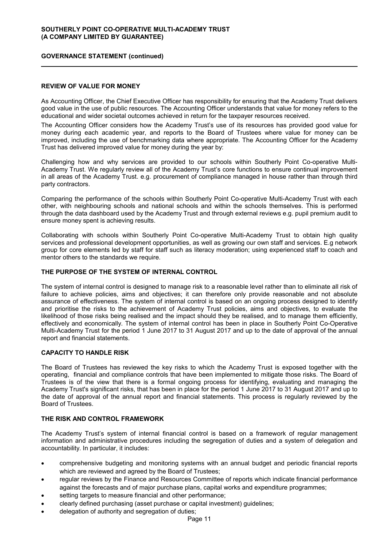### **GOVERNANCE STATEMENT (continued)**

### **REVIEW OF VALUE FOR MONEY**

As Accounting Officer, the Chief Executive Officer has responsibility for ensuring that the Academy Trust delivers good value in the use of public resources. The Accounting Officer understands that value for money refers to the educational and wider societal outcomes achieved in return for the taxpayer resources received.

The Accounting Officer considers how the Academy Trust's use of its resources has provided good value for money during each academic year, and reports to the Board of Trustees where value for money can be improved, including the use of benchmarking data where appropriate. The Accounting Officer for the Academy Trust has delivered improved value for money during the year by:

Challenging how and why services are provided to our schools within Southerly Point Co-operative Multi-Academy Trust. We regularly review all of the Academy Trust's core functions to ensure continual improvement in all areas of the Academy Trust. e.g. procurement of compliance managed in house rather than through third party contractors.

Comparing the performance of the schools within Southerly Point Co-operative Multi-Academy Trust with each other, with neighbouring schools and national schools and within the schools themselves. This is performed through the data dashboard used by the Academy Trust and through external reviews e.g. pupil premium audit to ensure money spent is achieving results.

Collaborating with schools within Southerly Point Co-operative Multi-Academy Trust to obtain high quality services and professional development opportunities, as well as growing our own staff and services. E.g network group for core elements led by staff for staff such as literacy moderation; using experienced staff to coach and mentor others to the standards we require.

#### **THE PURPOSE OF THE SYSTEM OF INTERNAL CONTROL**

The system of internal control is designed to manage risk to a reasonable level rather than to eliminate all risk of failure to achieve policies, aims and objectives; it can therefore only provide reasonable and not absolute assurance of effectiveness. The system of internal control is based on an ongoing process designed to identify and prioritise the risks to the achievement of Academy Trust policies, aims and objectives, to evaluate the likelihood of those risks being realised and the impact should they be realised, and to manage them efficiently, effectively and economically. The system of internal control has been in place in Southerly Point Co-Operative Multi-Academy Trust for the period 1 June 2017 to 31 August 2017 and up to the date of approval of the annual report and financial statements.

### **CAPACITY TO HANDLE RISK**

The Board of Trustees has reviewed the key risks to which the Academy Trust is exposed together with the operating, financial and compliance controls that have been implemented to mitigate those risks. The Board of Trustees is of the view that there is a formal ongoing process for identifying, evaluating and managing the Academy Trust's significant risks, that has been in place for the period 1 June 2017 to 31 August 2017 and up to the date of approval of the annual report and financial statements. This process is regularly reviewed by the Board of Trustees.

## **THE RISK AND CONTROL FRAMEWORK**

The Academy Trust's system of internal financial control is based on a framework of regular management information and administrative procedures including the segregation of duties and a system of delegation and accountability. In particular, it includes:

- comprehensive budgeting and monitoring systems with an annual budget and periodic financial reports which are reviewed and agreed by the Board of Trustees;
- regular reviews by the Finance and Resources Committee of reports which indicate financial performance against the forecasts and of major purchase plans, capital works and expenditure programmes;
- setting targets to measure financial and other performance;
- clearly defined purchasing (asset purchase or capital investment) guidelines;
- delegation of authority and segregation of duties;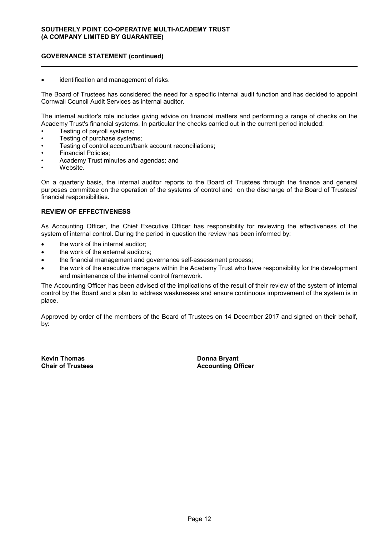## **GOVERNANCE STATEMENT (continued)**

identification and management of risks.

The Board of Trustees has considered the need for a specific internal audit function and has decided to appoint Cornwall Council Audit Services as internal auditor.

The internal auditor's role includes giving advice on financial matters and performing a range of checks on the Academy Trust's financial systems. In particular the checks carried out in the current period included:

- Testing of payroll systems;
- Testing of purchase systems;
- Testing of control account/bank account reconciliations;
- Financial Policies;
- Academy Trust minutes and agendas; and
- Website.

On a quarterly basis, the internal auditor reports to the Board of Trustees through the finance and general purposes committee on the operation of the systems of control and on the discharge of the Board of Trustees' financial responsibilities.

### **REVIEW OF EFFECTIVENESS**

As Accounting Officer, the Chief Executive Officer has responsibility for reviewing the effectiveness of the system of internal control. During the period in question the review has been informed by:

- the work of the internal auditor;
- the work of the external auditors;
- the financial management and governance self-assessment process;
- the work of the executive managers within the Academy Trust who have responsibility for the development and maintenance of the internal control framework.

The Accounting Officer has been advised of the implications of the result of their review of the system of internal control by the Board and a plan to address weaknesses and ensure continuous improvement of the system is in place.

Approved by order of the members of the Board of Trustees on 14 December 2017 and signed on their behalf, by:

**Kevin Thomas Chair of Trustees** **Donna Bryant Accounting Officer**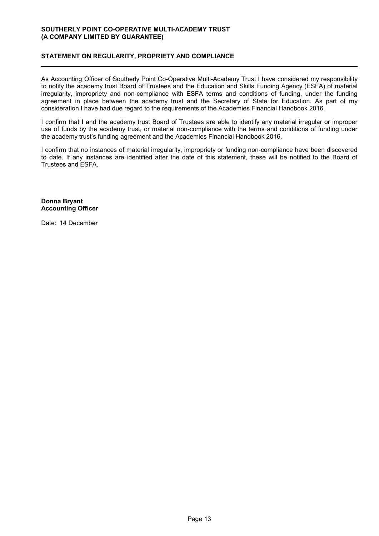## **STATEMENT ON REGULARITY, PROPRIETY AND COMPLIANCE**

As Accounting Officer of Southerly Point Co-Operative Multi-Academy Trust I have considered my responsibility to notify the academy trust Board of Trustees and the Education and Skills Funding Agency (ESFA) of material irregularity, impropriety and non-compliance with ESFA terms and conditions of funding, under the funding agreement in place between the academy trust and the Secretary of State for Education. As part of my consideration I have had due regard to the requirements of the Academies Financial Handbook 2016.

I confirm that I and the academy trust Board of Trustees are able to identify any material irregular or improper use of funds by the academy trust, or material non-compliance with the terms and conditions of funding under the academy trust's funding agreement and the Academies Financial Handbook 2016.

I confirm that no instances of material irregularity, impropriety or funding non-compliance have been discovered to date. If any instances are identified after the date of this statement, these will be notified to the Board of Trustees and ESFA.

**Donna Bryant Accounting Officer**

Date: 14 December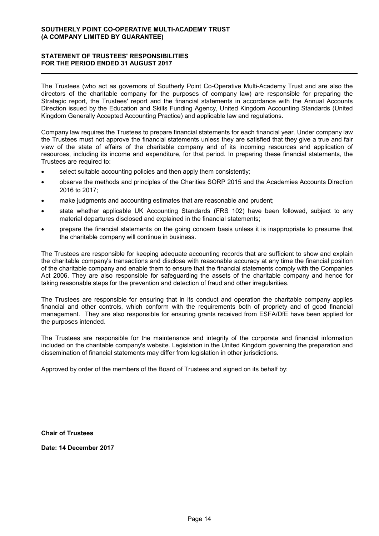## **STATEMENT OF TRUSTEES' RESPONSIBILITIES FOR THE PERIOD ENDED 31 AUGUST 2017**

The Trustees (who act as governors of Southerly Point Co-Operative Multi-Academy Trust and are also the directors of the charitable company for the purposes of company law) are responsible for preparing the Strategic report, the Trustees' report and the financial statements in accordance with the Annual Accounts Direction issued by the Education and Skills Funding Agency, United Kingdom Accounting Standards (United Kingdom Generally Accepted Accounting Practice) and applicable law and regulations.

Company law requires the Trustees to prepare financial statements for each financial year. Under company law the Trustees must not approve the financial statements unless they are satisfied that they give a true and fair view of the state of affairs of the charitable company and of its incoming resources and application of resources, including its income and expenditure, for that period. In preparing these financial statements, the Trustees are required to:

- select suitable accounting policies and then apply them consistently;
- observe the methods and principles of the Charities SORP 2015 and the Academies Accounts Direction 2016 to 2017;
- make judgments and accounting estimates that are reasonable and prudent;
- state whether applicable UK Accounting Standards (FRS 102) have been followed, subject to any material departures disclosed and explained in the financial statements;
- prepare the financial statements on the going concern basis unless it is inappropriate to presume that the charitable company will continue in business.

The Trustees are responsible for keeping adequate accounting records that are sufficient to show and explain the charitable company's transactions and disclose with reasonable accuracy at any time the financial position of the charitable company and enable them to ensure that the financial statements comply with the Companies Act 2006. They are also responsible for safeguarding the assets of the charitable company and hence for taking reasonable steps for the prevention and detection of fraud and other irregularities.

The Trustees are responsible for ensuring that in its conduct and operation the charitable company applies financial and other controls, which conform with the requirements both of propriety and of good financial management. They are also responsible for ensuring grants received from ESFA/DfE have been applied for the purposes intended.

The Trustees are responsible for the maintenance and integrity of the corporate and financial information included on the charitable company's website. Legislation in the United Kingdom governing the preparation and dissemination of financial statements may differ from legislation in other jurisdictions.

Approved by order of the members of the Board of Trustees and signed on its behalf by:

**Chair of Trustees**

**Date: 14 December 2017**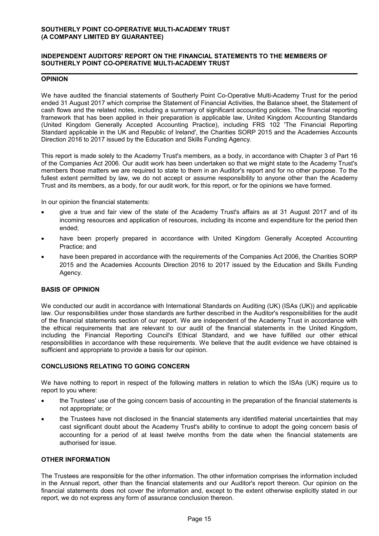## **INDEPENDENT AUDITORS' REPORT ON THE FINANCIAL STATEMENTS TO THE MEMBERS OF SOUTHERLY POINT CO-OPERATIVE MULTI-ACADEMY TRUST**

#### **OPINION**

We have audited the financial statements of Southerly Point Co-Operative Multi-Academy Trust for the period ended 31 August 2017 which comprise the Statement of Financial Activities, the Balance sheet, the Statement of cash flows and the related notes, including a summary of significant accounting policies. The financial reporting framework that has been applied in their preparation is applicable law, United Kingdom Accounting Standards (United Kingdom Generally Accepted Accounting Practice), including FRS 102 'The Financial Reporting Standard applicable in the UK and Republic of Ireland', the Charities SORP 2015 and the Academies Accounts Direction 2016 to 2017 issued by the Education and Skills Funding Agency.

This report is made solely to the Academy Trust's members, as a body, in accordance with Chapter 3 of Part 16 of the Companies Act 2006. Our audit work has been undertaken so that we might state to the Academy Trust's members those matters we are required to state to them in an Auditor's report and for no other purpose. To the fullest extent permitted by law, we do not accept or assume responsibility to anyone other than the Academy Trust and its members, as a body, for our audit work, for this report, or for the opinions we have formed.

In our opinion the financial statements:

- give a true and fair view of the state of the Academy Trust's affairs as at 31 August 2017 and of its incoming resources and application of resources, including its income and expenditure for the period then ended;
- have been properly prepared in accordance with United Kingdom Generally Accepted Accounting Practice; and
- have been prepared in accordance with the requirements of the Companies Act 2006, the Charities SORP 2015 and the Academies Accounts Direction 2016 to 2017 issued by the Education and Skills Funding Agency.

## **BASIS OF OPINION**

We conducted our audit in accordance with International Standards on Auditing (UK) (ISAs (UK)) and applicable law. Our responsibilities under those standards are further described in the Auditor's responsibilities for the audit of the financial statements section of our report. We are independent of the Academy Trust in accordance with the ethical requirements that are relevant to our audit of the financial statements in the United Kingdom, including the Financial Reporting Council's Ethical Standard, and we have fulfilled our other ethical responsibilities in accordance with these requirements. We believe that the audit evidence we have obtained is sufficient and appropriate to provide a basis for our opinion.

## **CONCLUSIONS RELATING TO GOING CONCERN**

We have nothing to report in respect of the following matters in relation to which the ISAs (UK) require us to report to you where:

- the Trustees' use of the going concern basis of accounting in the preparation of the financial statements is not appropriate; or
- the Trustees have not disclosed in the financial statements any identified material uncertainties that may cast significant doubt about the Academy Trust's ability to continue to adopt the going concern basis of accounting for a period of at least twelve months from the date when the financial statements are authorised for issue.

#### **OTHER INFORMATION**

The Trustees are responsible for the other information. The other information comprises the information included in the Annual report, other than the financial statements and our Auditor's report thereon. Our opinion on the financial statements does not cover the information and, except to the extent otherwise explicitly stated in our report, we do not express any form of assurance conclusion thereon.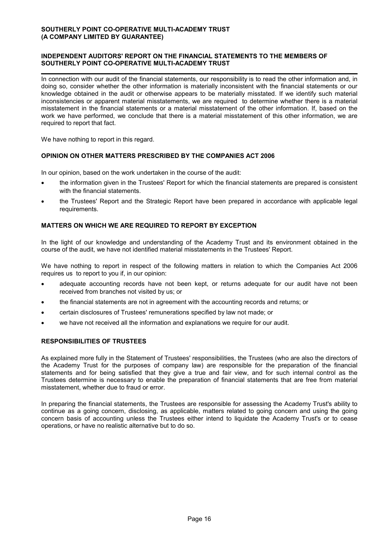### **INDEPENDENT AUDITORS' REPORT ON THE FINANCIAL STATEMENTS TO THE MEMBERS OF SOUTHERLY POINT CO-OPERATIVE MULTI-ACADEMY TRUST**

In connection with our audit of the financial statements, our responsibility is to read the other information and, in doing so, consider whether the other information is materially inconsistent with the financial statements or our knowledge obtained in the audit or otherwise appears to be materially misstated. If we identify such material inconsistencies or apparent material misstatements, we are required to determine whether there is a material misstatement in the financial statements or a material misstatement of the other information. If, based on the work we have performed, we conclude that there is a material misstatement of this other information, we are required to report that fact.

We have nothing to report in this regard.

### **OPINION ON OTHER MATTERS PRESCRIBED BY THE COMPANIES ACT 2006**

In our opinion, based on the work undertaken in the course of the audit:

- the information given in the Trustees' Report for which the financial statements are prepared is consistent with the financial statements.
- the Trustees' Report and the Strategic Report have been prepared in accordance with applicable legal requirements.

## **MATTERS ON WHICH WE ARE REQUIRED TO REPORT BY EXCEPTION**

In the light of our knowledge and understanding of the Academy Trust and its environment obtained in the course of the audit, we have not identified material misstatements in the Trustees' Report.

We have nothing to report in respect of the following matters in relation to which the Companies Act 2006 requires us to report to you if, in our opinion:

- adequate accounting records have not been kept, or returns adequate for our audit have not been received from branches not visited by us; or
- the financial statements are not in agreement with the accounting records and returns; or
- certain disclosures of Trustees' remunerations specified by law not made; or
- we have not received all the information and explanations we require for our audit.

#### **RESPONSIBILITIES OF TRUSTEES**

As explained more fully in the Statement of Trustees' responsibilities, the Trustees (who are also the directors of the Academy Trust for the purposes of company law) are responsible for the preparation of the financial statements and for being satisfied that they give a true and fair view, and for such internal control as the Trustees determine is necessary to enable the preparation of financial statements that are free from material misstatement, whether due to fraud or error.

In preparing the financial statements, the Trustees are responsible for assessing the Academy Trust's ability to continue as a going concern, disclosing, as applicable, matters related to going concern and using the going concern basis of accounting unless the Trustees either intend to liquidate the Academy Trust's or to cease operations, or have no realistic alternative but to do so.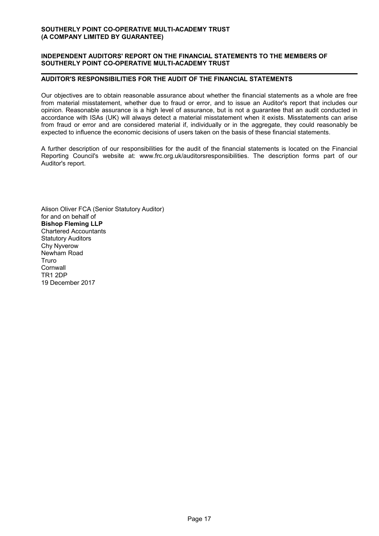## **INDEPENDENT AUDITORS' REPORT ON THE FINANCIAL STATEMENTS TO THE MEMBERS OF SOUTHERLY POINT CO-OPERATIVE MULTI-ACADEMY TRUST**

### **AUDITOR'S RESPONSIBILITIES FOR THE AUDIT OF THE FINANCIAL STATEMENTS**

Our objectives are to obtain reasonable assurance about whether the financial statements as a whole are free from material misstatement, whether due to fraud or error, and to issue an Auditor's report that includes our opinion. Reasonable assurance is a high level of assurance, but is not a guarantee that an audit conducted in accordance with ISAs (UK) will always detect a material misstatement when it exists. Misstatements can arise from fraud or error and are considered material if, individually or in the aggregate, they could reasonably be expected to influence the economic decisions of users taken on the basis of these financial statements.

A further description of our responsibilities for the audit of the financial statements is located on the Financial Reporting Council's website at: www.frc.org.uk/auditorsresponsibilities. The description forms part of our Auditor's report.

Alison Oliver FCA (Senior Statutory Auditor) for and on behalf of **Bishop Fleming LLP** Chartered Accountants Statutory Auditors Chy Nyverow Newham Road Truro **Cornwall** TR1 2DP 19 December 2017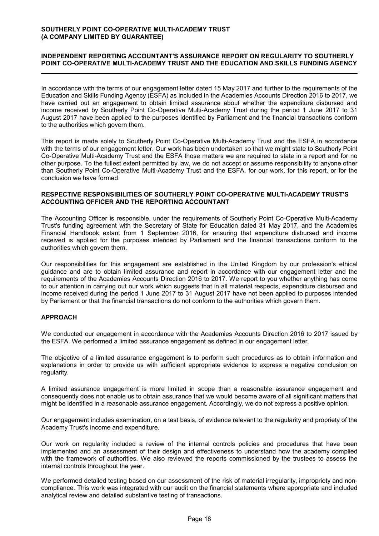## **INDEPENDENT REPORTING ACCOUNTANT'S ASSURANCE REPORT ON REGULARITY TO SOUTHERLY POINT CO-OPERATIVE MULTI-ACADEMY TRUST AND THE EDUCATION AND SKILLS FUNDING AGENCY**

In accordance with the terms of our engagement letter dated 15 May 2017 and further to the requirements of the Education and Skills Funding Agency (ESFA) as included in the Academies Accounts Direction 2016 to 2017, we have carried out an engagement to obtain limited assurance about whether the expenditure disbursed and income received by Southerly Point Co-Operative Multi-Academy Trust during the period 1 June 2017 to 31 August 2017 have been applied to the purposes identified by Parliament and the financial transactions conform to the authorities which govern them.

This report is made solely to Southerly Point Co-Operative Multi-Academy Trust and the ESFA in accordance with the terms of our engagement letter. Our work has been undertaken so that we might state to Southerly Point Co-Operative Multi-Academy Trust and the ESFA those matters we are required to state in a report and for no other purpose. To the fullest extent permitted by law, we do not accept or assume responsibility to anyone other than Southerly Point Co-Operative Multi-Academy Trust and the ESFA, for our work, for this report, or for the conclusion we have formed.

### **RESPECTIVE RESPONSIBILITIES OF SOUTHERLY POINT CO-OPERATIVE MULTI-ACADEMY TRUST'S ACCOUNTING OFFICER AND THE REPORTING ACCOUNTANT**

The Accounting Officer is responsible, under the requirements of Southerly Point Co-Operative Multi-Academy Trust's funding agreement with the Secretary of State for Education dated 31 May 2017, and the Academies Financial Handbook extant from 1 September 2016, for ensuring that expenditure disbursed and income received is applied for the purposes intended by Parliament and the financial transactions conform to the authorities which govern them.

Our responsibilities for this engagement are established in the United Kingdom by our profession's ethical guidance and are to obtain limited assurance and report in accordance with our engagement letter and the requirements of the Academies Accounts Direction 2016 to 2017. We report to you whether anything has come to our attention in carrying out our work which suggests that in all material respects, expenditure disbursed and income received during the period 1 June 2017 to 31 August 2017 have not been applied to purposes intended by Parliament or that the financial transactions do not conform to the authorities which govern them.

## **APPROACH**

We conducted our engagement in accordance with the Academies Accounts Direction 2016 to 2017 issued by the ESFA. We performed a limited assurance engagement as defined in our engagement letter.

The objective of a limited assurance engagement is to perform such procedures as to obtain information and explanations in order to provide us with sufficient appropriate evidence to express a negative conclusion on regularity.

A limited assurance engagement is more limited in scope than a reasonable assurance engagement and consequently does not enable us to obtain assurance that we would become aware of all significant matters that might be identified in a reasonable assurance engagement. Accordingly, we do not express a positive opinion.

Our engagement includes examination, on a test basis, of evidence relevant to the regularity and propriety of the Academy Trust's income and expenditure.

Our work on regularity included a review of the internal controls policies and procedures that have been implemented and an assessment of their design and effectiveness to understand how the academy complied with the framework of authorities. We also reviewed the reports commissioned by the trustees to assess the internal controls throughout the year.

We performed detailed testing based on our assessment of the risk of material irregularity, impropriety and noncompliance. This work was integrated with our audit on the financial statements where appropriate and included analytical review and detailed substantive testing of transactions.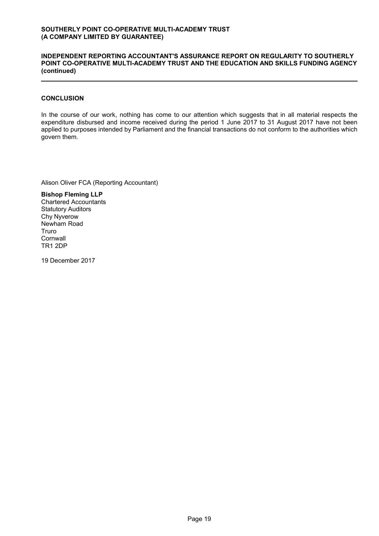#### **INDEPENDENT REPORTING ACCOUNTANT'S ASSURANCE REPORT ON REGULARITY TO SOUTHERLY POINT CO-OPERATIVE MULTI-ACADEMY TRUST AND THE EDUCATION AND SKILLS FUNDING AGENCY (continued)**

## **CONCLUSION**

In the course of our work, nothing has come to our attention which suggests that in all material respects the expenditure disbursed and income received during the period 1 June 2017 to 31 August 2017 have not been applied to purposes intended by Parliament and the financial transactions do not conform to the authorities which govern them.

Alison Oliver FCA (Reporting Accountant)

**Bishop Fleming LLP** Chartered Accountants Statutory Auditors Chy Nyverow Newham Road Truro **Cornwall** TR1 2DP

19 December 2017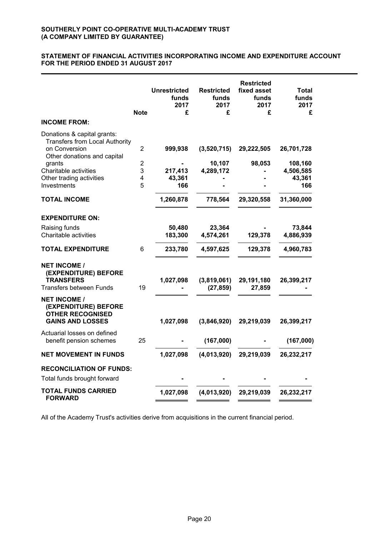#### **STATEMENT OF FINANCIAL ACTIVITIES INCORPORATING INCOME AND EXPENDITURE ACCOUNT FOR THE PERIOD ENDED 31 AUGUST 2017**

| <b>INCOME FROM:</b>                                                                               | <b>Note</b>    | <b>Unrestricted</b><br>funds<br>2017<br>£ | <b>Restricted</b><br>funds<br>2017<br>£ | <b>Restricted</b><br>fixed asset<br>funds<br>2017<br>£ | Total<br>funds<br>2017<br>£ |
|---------------------------------------------------------------------------------------------------|----------------|-------------------------------------------|-----------------------------------------|--------------------------------------------------------|-----------------------------|
| Donations & capital grants:                                                                       |                |                                           |                                         |                                                        |                             |
| <b>Transfers from Local Authority</b><br>on Conversion<br>Other donations and capital             | $\overline{2}$ | 999,938                                   | (3,520,715)                             | 29,222,505                                             | 26,701,728                  |
| grants                                                                                            | $\overline{2}$ |                                           | 10,107                                  | 98,053                                                 | 108,160                     |
| Charitable activities                                                                             | 3              | 217,413                                   | 4,289,172                               |                                                        | 4,506,585                   |
| Other trading activities<br>Investments                                                           | 4<br>5         | 43,361<br>166                             |                                         |                                                        | 43,361<br>166               |
| <b>TOTAL INCOME</b>                                                                               |                | 1,260,878                                 | 778,564                                 | 29,320,558                                             | 31,360,000                  |
| <b>EXPENDITURE ON:</b>                                                                            |                |                                           |                                         |                                                        |                             |
| Raising funds                                                                                     |                | 50,480                                    | 23,364                                  |                                                        | 73,844                      |
| Charitable activities                                                                             |                | 183,300                                   | 4,574,261                               | 129,378                                                | 4,886,939                   |
| <b>TOTAL EXPENDITURE</b>                                                                          | 6              | 233,780                                   | 4,597,625                               | 129,378                                                | 4,960,783                   |
| <b>NET INCOME /</b><br>(EXPENDITURE) BEFORE<br><b>TRANSFERS</b><br>Transfers between Funds        | 19             | 1,027,098                                 | (3,819,061)<br>(27, 859)                | 29,191,180<br>27,859                                   | 26,399,217                  |
| <b>NET INCOME /</b><br>(EXPENDITURE) BEFORE<br><b>OTHER RECOGNISED</b><br><b>GAINS AND LOSSES</b> |                | 1,027,098                                 | (3,846,920)                             | 29,219,039                                             | 26,399,217                  |
| Actuarial losses on defined<br>benefit pension schemes                                            | 25             |                                           | (167,000)                               |                                                        | (167,000)                   |
|                                                                                                   |                |                                           |                                         |                                                        |                             |
| <b>NET MOVEMENT IN FUNDS</b>                                                                      |                | 1,027,098                                 | (4,013,920)                             | 29,219,039                                             | 26,232,217                  |
| <b>RECONCILIATION OF FUNDS:</b>                                                                   |                |                                           |                                         |                                                        |                             |
| Total funds brought forward                                                                       |                |                                           |                                         |                                                        |                             |
| <b>TOTAL FUNDS CARRIED</b><br><b>FORWARD</b>                                                      |                | 1,027,098                                 | (4,013,920)                             | 29,219,039                                             | 26,232,217                  |

All of the Academy Trust's activities derive from acquisitions in the current financial period.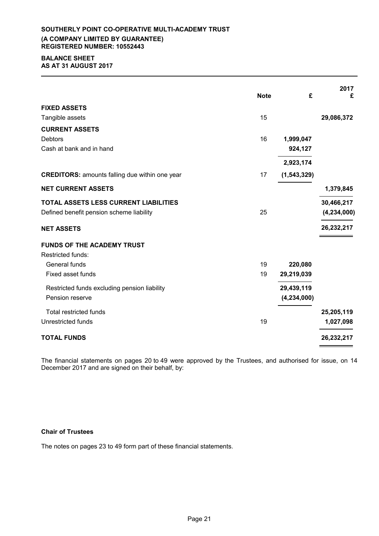## **SOUTHERLY POINT CO-OPERATIVE MULTI-ACADEMY TRUST (A COMPANY LIMITED BY GUARANTEE) REGISTERED NUMBER: 10552443**

#### **BALANCE SHEET AS AT 31 AUGUST 2017**

|                                                       |             |               | 2017          |
|-------------------------------------------------------|-------------|---------------|---------------|
|                                                       | <b>Note</b> | £             | £             |
| <b>FIXED ASSETS</b>                                   |             |               |               |
| Tangible assets                                       | 15          |               | 29,086,372    |
| <b>CURRENT ASSETS</b>                                 |             |               |               |
| <b>Debtors</b>                                        | 16          | 1,999,047     |               |
| Cash at bank and in hand                              |             | 924,127       |               |
|                                                       |             | 2,923,174     |               |
| <b>CREDITORS:</b> amounts falling due within one year | 17          | (1, 543, 329) |               |
| <b>NET CURRENT ASSETS</b>                             |             |               | 1,379,845     |
| <b>TOTAL ASSETS LESS CURRENT LIABILITIES</b>          |             |               | 30,466,217    |
| Defined benefit pension scheme liability              | 25          |               | (4, 234, 000) |
| <b>NET ASSETS</b>                                     |             |               | 26,232,217    |
| <b>FUNDS OF THE ACADEMY TRUST</b>                     |             |               |               |
| <b>Restricted funds:</b>                              |             |               |               |
| General funds                                         | 19          | 220,080       |               |
| <b>Fixed asset funds</b>                              | 19          | 29,219,039    |               |
| Restricted funds excluding pension liability          |             | 29,439,119    |               |
| Pension reserve                                       |             | (4, 234, 000) |               |
| <b>Total restricted funds</b>                         |             |               | 25,205,119    |
| <b>Unrestricted funds</b>                             | 19          |               | 1,027,098     |
| <b>TOTAL FUNDS</b>                                    |             |               | 26,232,217    |

The financial statements on pages 20 to 49 were approved by the Trustees, and authorised for issue, on 14 December 2017 and are signed on their behalf, by:

## **Chair of Trustees**

The notes on pages 23 to 49 form part of these financial statements.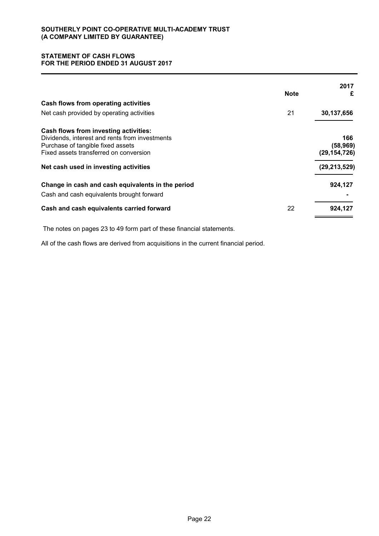## **STATEMENT OF CASH FLOWS FOR THE PERIOD ENDED 31 AUGUST 2017**

|                                                   | <b>Note</b> | 2017<br>£      |
|---------------------------------------------------|-------------|----------------|
| Cash flows from operating activities              |             |                |
| Net cash provided by operating activities         | 21          | 30,137,656     |
| Cash flows from investing activities:             |             |                |
| Dividends, interest and rents from investments    |             | 166            |
| Purchase of tangible fixed assets                 |             | (58, 969)      |
| Fixed assets transferred on conversion            |             | (29, 154, 726) |
| Net cash used in investing activities             |             | (29, 213, 529) |
| Change in cash and cash equivalents in the period |             | 924,127        |
| Cash and cash equivalents brought forward         |             |                |
| Cash and cash equivalents carried forward         | 22          | 924,127        |
|                                                   |             |                |

The notes on pages 23 to 49 form part of these financial statements.

All of the cash flows are derived from acquisitions in the current financial period.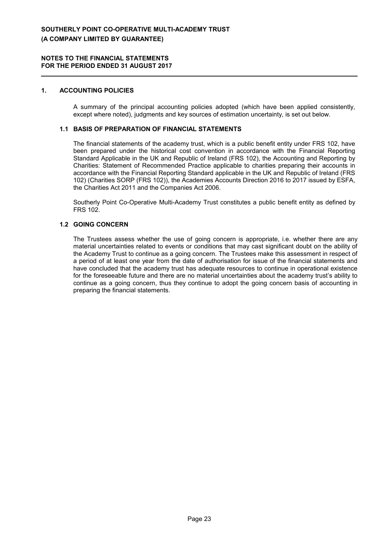#### **1. ACCOUNTING POLICIES**

A summary of the principal accounting policies adopted (which have been applied consistently, except where noted), judgments and key sources of estimation uncertainty, is set out below.

## **1.1 BASIS OF PREPARATION OF FINANCIAL STATEMENTS**

The financial statements of the academy trust, which is a public benefit entity under FRS 102, have been prepared under the historical cost convention in accordance with the Financial Reporting Standard Applicable in the UK and Republic of Ireland (FRS 102), the Accounting and Reporting by Charities: Statement of Recommended Practice applicable to charities preparing their accounts in accordance with the Financial Reporting Standard applicable in the UK and Republic of Ireland (FRS 102) (Charities SORP (FRS 102)), the Academies Accounts Direction 2016 to 2017 issued by ESFA, the Charities Act 2011 and the Companies Act 2006.

Southerly Point Co-Operative Multi-Academy Trust constitutes a public benefit entity as defined by FRS 102.

### **1.2 GOING CONCERN**

The Trustees assess whether the use of going concern is appropriate, i.e. whether there are any material uncertainties related to events or conditions that may cast significant doubt on the ability of the Academy Trust to continue as a going concern. The Trustees make this assessment in respect of a period of at least one year from the date of authorisation for issue of the financial statements and have concluded that the academy trust has adequate resources to continue in operational existence for the foreseeable future and there are no material uncertainties about the academy trust's ability to continue as a going concern, thus they continue to adopt the going concern basis of accounting in preparing the financial statements.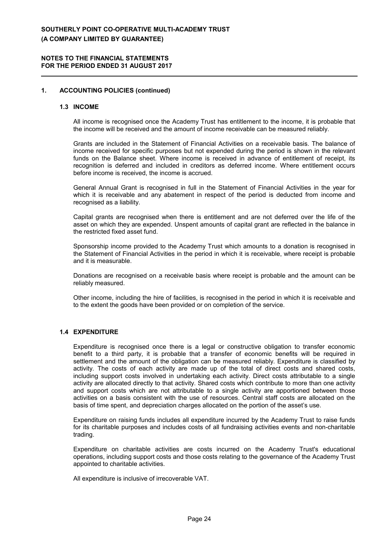#### **NOTES TO THE FINANCIAL STATEMENTS FOR THE PERIOD ENDED 31 AUGUST 2017**

#### **1. ACCOUNTING POLICIES (continued)**

#### **1.3 INCOME**

All income is recognised once the Academy Trust has entitlement to the income, it is probable that the income will be received and the amount of income receivable can be measured reliably.

Grants are included in the Statement of Financial Activities on a receivable basis. The balance of income received for specific purposes but not expended during the period is shown in the relevant funds on the Balance sheet. Where income is received in advance of entitlement of receipt, its recognition is deferred and included in creditors as deferred income. Where entitlement occurs before income is received, the income is accrued.

General Annual Grant is recognised in full in the Statement of Financial Activities in the year for which it is receivable and any abatement in respect of the period is deducted from income and recognised as a liability.

Capital grants are recognised when there is entitlement and are not deferred over the life of the asset on which they are expended. Unspent amounts of capital grant are reflected in the balance in the restricted fixed asset fund.

Sponsorship income provided to the Academy Trust which amounts to a donation is recognised in the Statement of Financial Activities in the period in which it is receivable, where receipt is probable and it is measurable.

Donations are recognised on a receivable basis where receipt is probable and the amount can be reliably measured.

Other income, including the hire of facilities, is recognised in the period in which it is receivable and to the extent the goods have been provided or on completion of the service.

## **1.4 EXPENDITURE**

Expenditure is recognised once there is a legal or constructive obligation to transfer economic benefit to a third party, it is probable that a transfer of economic benefits will be required in settlement and the amount of the obligation can be measured reliably. Expenditure is classified by activity. The costs of each activity are made up of the total of direct costs and shared costs, including support costs involved in undertaking each activity. Direct costs attributable to a single activity are allocated directly to that activity. Shared costs which contribute to more than one activity and support costs which are not attributable to a single activity are apportioned between those activities on a basis consistent with the use of resources. Central staff costs are allocated on the basis of time spent, and depreciation charges allocated on the portion of the asset's use.

Expenditure on raising funds includes all expenditure incurred by the Academy Trust to raise funds for its charitable purposes and includes costs of all fundraising activities events and non-charitable trading.

Expenditure on charitable activities are costs incurred on the Academy Trust's educational operations, including support costs and those costs relating to the governance of the Academy Trust appointed to charitable activities.

All expenditure is inclusive of irrecoverable VAT.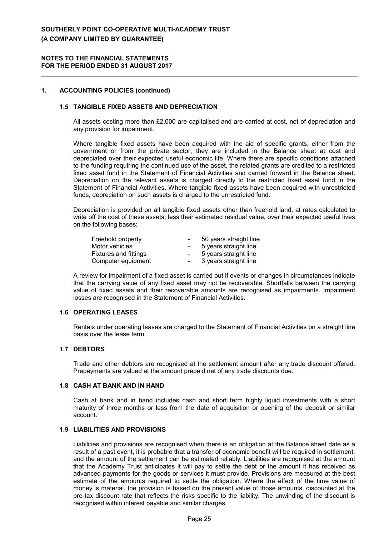#### **NOTES TO THE FINANCIAL STATEMENTS FOR THE PERIOD ENDED 31 AUGUST 2017**

### **1. ACCOUNTING POLICIES (continued)**

## **1.5 TANGIBLE FIXED ASSETS AND DEPRECIATION**

All assets costing more than £2,000 are capitalised and are carried at cost, net of depreciation and any provision for impairment.

Where tangible fixed assets have been acquired with the aid of specific grants, either from the government or from the private sector, they are included in the Balance sheet at cost and depreciated over their expected useful economic life. Where there are specific conditions attached to the funding requiring the continued use of the asset, the related grants are credited to a restricted fixed asset fund in the Statement of Financial Activities and carried forward in the Balance sheet. Depreciation on the relevant assets is charged directly to the restricted fixed asset fund in the Statement of Financial Activities. Where tangible fixed assets have been acquired with unrestricted funds, depreciation on such assets is charged to the unrestricted fund.

Depreciation is provided on all tangible fixed assets other than freehold land, at rates calculated to write off the cost of these assets, less their estimated residual value, over their expected useful lives on the following bases:

| Freehold property            | $\blacksquare$           | 50 years straight line |
|------------------------------|--------------------------|------------------------|
| Motor vehicles               | $\overline{\phantom{0}}$ | 5 years straight line  |
| <b>Fixtures and fittings</b> | $\blacksquare$           | 5 years straight line  |
| Computer equipment           | $\overline{\phantom{0}}$ | 3 years straight line  |

A review for impairment of a fixed asset is carried out if events or changes in circumstances indicate that the carrying value of any fixed asset may not be recoverable. Shortfalls between the carrying value of fixed assets and their recoverable amounts are recognised as impairments. Impairment losses are recognised in the Statement of Financial Activities.

## **1.6 OPERATING LEASES**

Rentals under operating leases are charged to the Statement of Financial Activities on a straight line basis over the lease term.

#### **1.7 DEBTORS**

Trade and other debtors are recognised at the settlement amount after any trade discount offered. Prepayments are valued at the amount prepaid net of any trade discounts due.

#### **1.8 CASH AT BANK AND IN HAND**

Cash at bank and in hand includes cash and short term highly liquid investments with a short maturity of three months or less from the date of acquisition or opening of the deposit or similar account.

#### **1.9 LIABILITIES AND PROVISIONS**

Liabilities and provisions are recognised when there is an obligation at the Balance sheet date as a result of a past event, it is probable that a transfer of economic benefit will be required in settlement, and the amount of the settlement can be estimated reliably. Liabilities are recognised at the amount that the Academy Trust anticipates it will pay to settle the debt or the amount it has received as advanced payments for the goods or services it must provide. Provisions are measured at the best estimate of the amounts required to settle the obligation. Where the effect of the time value of money is material, the provision is based on the present value of those amounts, discounted at the pre-tax discount rate that reflects the risks specific to the liability. The unwinding of the discount is recognised within interest payable and similar charges.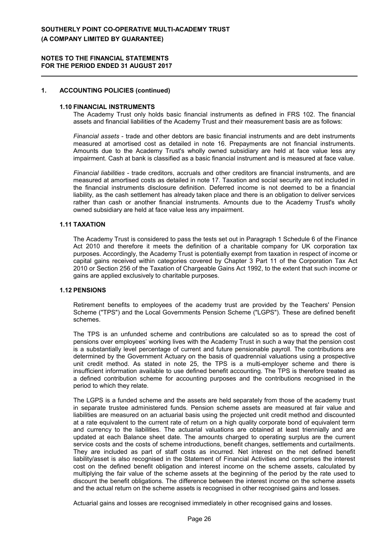#### **NOTES TO THE FINANCIAL STATEMENTS FOR THE PERIOD ENDED 31 AUGUST 2017**

#### **1. ACCOUNTING POLICIES (continued)**

#### **1.10 FINANCIAL INSTRUMENTS**

The Academy Trust only holds basic financial instruments as defined in FRS 102. The financial assets and financial liabilities of the Academy Trust and their measurement basis are as follows:

*Financial assets* - trade and other debtors are basic financial instruments and are debt instruments measured at amortised cost as detailed in note 16. Prepayments are not financial instruments. Amounts due to the Academy Trust's wholly owned subsidiary are held at face value less any impairment. Cash at bank is classified as a basic financial instrument and is measured at face value.

*Financial liabilities* - trade creditors, accruals and other creditors are financial instruments, and are measured at amortised costs as detailed in note 17. Taxation and social security are not included in the financial instruments disclosure definition. Deferred income is not deemed to be a financial liability, as the cash settlement has already taken place and there is an obligation to deliver services rather than cash or another financial instruments. Amounts due to the Academy Trust's wholly owned subsidiary are held at face value less any impairment.

#### **1.11 TAXATION**

The Academy Trust is considered to pass the tests set out in Paragraph 1 Schedule 6 of the Finance Act 2010 and therefore it meets the definition of a charitable company for UK corporation tax purposes. Accordingly, the Academy Trust is potentially exempt from taxation in respect of income or capital gains received within categories covered by Chapter 3 Part 11 of the Corporation Tax Act 2010 or Section 256 of the Taxation of Chargeable Gains Act 1992, to the extent that such income or gains are applied exclusively to charitable purposes.

### **1.12 PENSIONS**

Retirement benefits to employees of the academy trust are provided by the Teachers' Pension Scheme ("TPS") and the Local Governments Pension Scheme ("LGPS"). These are defined benefit schemes.

The TPS is an unfunded scheme and contributions are calculated so as to spread the cost of pensions over employees' working lives with the Academy Trust in such a way that the pension cost is a substantially level percentage of current and future pensionable payroll. The contributions are determined by the Government Actuary on the basis of quadrennial valuations using a prospective unit credit method. As stated in note 25, the TPS is a multi-employer scheme and there is insufficient information available to use defined benefit accounting. The TPS is therefore treated as a defined contribution scheme for accounting purposes and the contributions recognised in the period to which they relate.

The LGPS is a funded scheme and the assets are held separately from those of the academy trust in separate trustee administered funds. Pension scheme assets are measured at fair value and liabilities are measured on an actuarial basis using the projected unit credit method and discounted at a rate equivalent to the current rate of return on a high quality corporate bond of equivalent term and currency to the liabilities. The actuarial valuations are obtained at least triennially and are updated at each Balance sheet date. The amounts charged to operating surplus are the current service costs and the costs of scheme introductions, benefit changes, settlements and curtailments. They are included as part of staff costs as incurred. Net interest on the net defined benefit liability/asset is also recognised in the Statement of Financial Activities and comprises the interest cost on the defined benefit obligation and interest income on the scheme assets, calculated by multiplying the fair value of the scheme assets at the beginning of the period by the rate used to discount the benefit obligations. The difference between the interest income on the scheme assets and the actual return on the scheme assets is recognised in other recognised gains and losses.

Actuarial gains and losses are recognised immediately in other recognised gains and losses.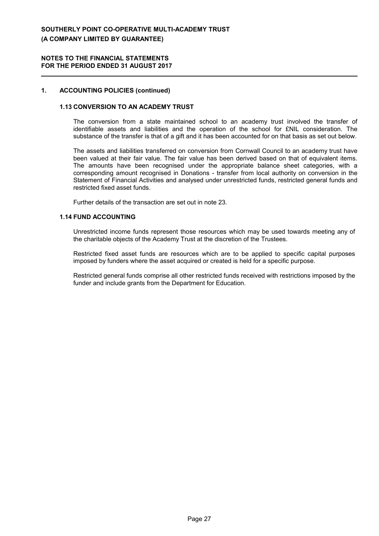#### **NOTES TO THE FINANCIAL STATEMENTS FOR THE PERIOD ENDED 31 AUGUST 2017**

### **1. ACCOUNTING POLICIES (continued)**

#### **1.13 CONVERSION TO AN ACADEMY TRUST**

The conversion from a state maintained school to an academy trust involved the transfer of identifiable assets and liabilities and the operation of the school for £NIL consideration. The substance of the transfer is that of a gift and it has been accounted for on that basis as set out below.

The assets and liabilities transferred on conversion from Cornwall Council to an academy trust have been valued at their fair value. The fair value has been derived based on that of equivalent items. The amounts have been recognised under the appropriate balance sheet categories, with a corresponding amount recognised in Donations - transfer from local authority on conversion in the Statement of Financial Activities and analysed under unrestricted funds, restricted general funds and restricted fixed asset funds.

Further details of the transaction are set out in note 23.

#### **1.14 FUND ACCOUNTING**

Unrestricted income funds represent those resources which may be used towards meeting any of the charitable objects of the Academy Trust at the discretion of the Trustees.

Restricted fixed asset funds are resources which are to be applied to specific capital purposes imposed by funders where the asset acquired or created is held for a specific purpose.

Restricted general funds comprise all other restricted funds received with restrictions imposed by the funder and include grants from the Department for Education.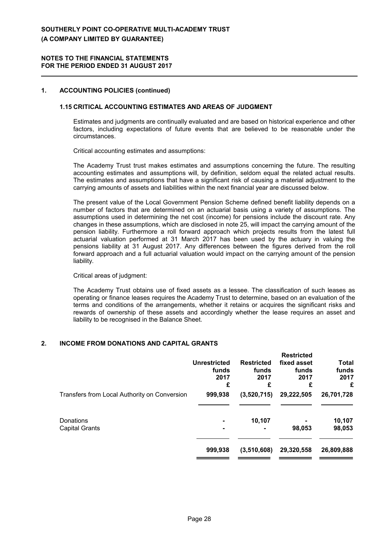#### **NOTES TO THE FINANCIAL STATEMENTS FOR THE PERIOD ENDED 31 AUGUST 2017**

#### **1. ACCOUNTING POLICIES (continued)**

#### **1.15 CRITICAL ACCOUNTING ESTIMATES AND AREAS OF JUDGMENT**

Estimates and judgments are continually evaluated and are based on historical experience and other factors, including expectations of future events that are believed to be reasonable under the circumstances.

Critical accounting estimates and assumptions:

The Academy Trust trust makes estimates and assumptions concerning the future. The resulting accounting estimates and assumptions will, by definition, seldom equal the related actual results. The estimates and assumptions that have a significant risk of causing a material adjustment to the carrying amounts of assets and liabilities within the next financial year are discussed below.

The present value of the Local Government Pension Scheme defined benefit liability depends on a number of factors that are determined on an actuarial basis using a variety of assumptions. The assumptions used in determining the net cost (income) for pensions include the discount rate. Any changes in these assumptions, which are disclosed in note 25, will impact the carrying amount of the pension liability. Furthermore a roll forward approach which projects results from the latest full actuarial valuation performed at 31 March 2017 has been used by the actuary in valuing the pensions liability at 31 August 2017. Any differences between the figures derived from the roll forward approach and a full actuarial valuation would impact on the carrying amount of the pension liability.

Critical areas of judgment:

The Academy Trust obtains use of fixed assets as a lessee. The classification of such leases as operating or finance leases requires the Academy Trust to determine, based on an evaluation of the terms and conditions of the arrangements, whether it retains or acquires the significant risks and rewards of ownership of these assets and accordingly whether the lease requires an asset and liability to be recognised in the Balance Sheet.

#### **2. INCOME FROM DONATIONS AND CAPITAL GRANTS**

|                                              | <b>Unrestricted</b><br>funds<br>2017<br>£ | <b>Restricted</b><br>funds<br>2017<br>£ | <b>Restricted</b><br>fixed asset<br>funds<br>2017<br>£ | <b>Total</b><br>funds<br>2017<br>£ |
|----------------------------------------------|-------------------------------------------|-----------------------------------------|--------------------------------------------------------|------------------------------------|
| Transfers from Local Authority on Conversion | 999,938                                   | (3,520,715)                             | 29,222,505                                             | 26,701,728                         |
| Donations<br><b>Capital Grants</b>           |                                           | 10,107                                  | 98,053                                                 | 10,107<br>98,053                   |
|                                              | 999,938                                   | (3,510,608)                             | 29,320,558                                             | 26,809,888                         |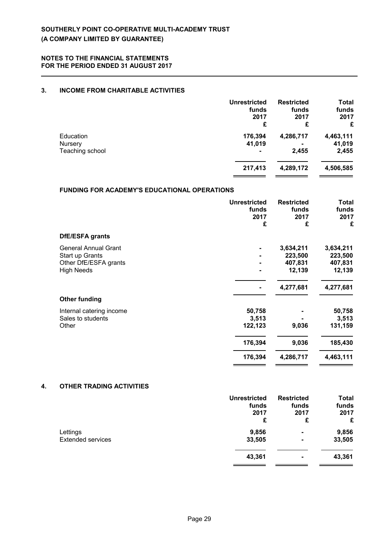## **3. INCOME FROM CHARITABLE ACTIVITIES**

|                                                     | <b>Unrestricted</b> | <b>Restricted</b> | <b>Total</b> |
|-----------------------------------------------------|---------------------|-------------------|--------------|
|                                                     | funds               | funds             | funds        |
|                                                     | 2017                | 2017              | 2017         |
|                                                     | £                   | £                 | £            |
| Education                                           | 176,394             | 4,286,717         | 4,463,111    |
| <b>Nursery</b>                                      | 41,019              |                   | 41,019       |
| Teaching school                                     |                     | 2,455             | 2,455        |
|                                                     | 217,413             | 4,289,172         | 4,506,585    |
| <b>FUNDING FOR ACADEMY'S EDUCATIONAL OPERATIONS</b> |                     |                   |              |
|                                                     | <b>Unrestricted</b> | <b>Restricted</b> | <b>Total</b> |
|                                                     | funds               | funds             | funds        |
|                                                     | 2017                | 2017              | 2017         |
|                                                     | £                   | £                 | £            |

| <b>DfE/ESFA grants</b> |  |
|------------------------|--|
|------------------------|--|

| DIE/ESPA grants             |         |           |           |
|-----------------------------|---------|-----------|-----------|
| <b>General Annual Grant</b> |         | 3,634,211 | 3,634,211 |
| Start up Grants             |         | 223,500   | 223,500   |
| Other DfE/ESFA grants       |         | 407,831   | 407,831   |
| <b>High Needs</b>           |         | 12,139    | 12,139    |
|                             |         | 4,277,681 | 4,277,681 |
| <b>Other funding</b>        |         |           |           |
| Internal catering income    | 50,758  |           | 50,758    |
| Sales to students           | 3,513   |           | 3,513     |
| Other                       | 122,123 | 9,036     | 131,159   |
|                             | 176,394 | 9,036     | 185,430   |
|                             | 176,394 | 4,286,717 | 4,463,111 |
|                             |         |           |           |

## **4. OTHER TRADING ACTIVITIES**

|                          | <b>Unrestricted</b> | <b>Restricted</b> | <b>Total</b> |
|--------------------------|---------------------|-------------------|--------------|
|                          | funds               | funds             | funds        |
|                          | 2017                | 2017              | 2017         |
|                          | £                   | £                 | £            |
| Lettings                 | 9,856               | $\blacksquare$    | 9,856        |
| <b>Extended services</b> | 33,505              | $\blacksquare$    | 33,505       |
|                          | 43,361              | $\blacksquare$    | 43,361       |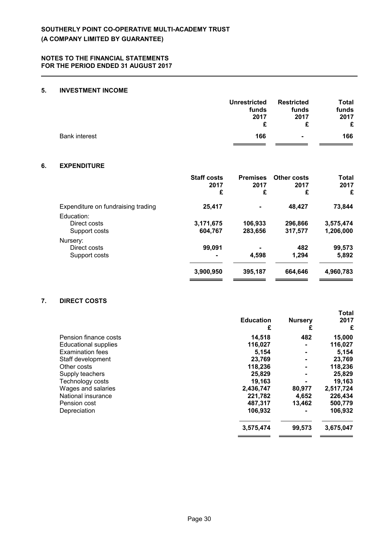## **5. INVESTMENT INCOME**

|                      | funds<br>2017 | funds<br>2017  | Total<br>funds<br>2017<br>£ |
|----------------------|---------------|----------------|-----------------------------|
| <b>Bank interest</b> | 166           | $\blacksquare$ | 166                         |

## **6. EXPENDITURE**

|                                             | <b>Staff costs</b><br>2017<br>£ | <b>Premises</b><br>2017<br>£ | <b>Other costs</b><br>2017<br>£ | <b>Total</b><br>2017<br>£ |
|---------------------------------------------|---------------------------------|------------------------------|---------------------------------|---------------------------|
| Expenditure on fundraising trading          | 25,417                          | $\blacksquare$               | 48,427                          | 73,844                    |
| Education:<br>Direct costs<br>Support costs | 3,171,675<br>604,767            | 106,933<br>283,656           | 296,866<br>317,577              | 3,575,474<br>1,206,000    |
| Nursery:<br>Direct costs<br>Support costs   | 99.091<br>$\blacksquare$        | $\blacksquare$<br>4,598      | 482<br>1,294                    | 99,573<br>5,892           |
|                                             | 3,900,950                       | 395,187                      | 664,646                         | 4,960,783                 |

## **7. DIRECT COSTS**

|                             | <b>Education</b><br>£ | <b>Nursery</b><br>£ | <b>Total</b><br>2017<br>£ |
|-----------------------------|-----------------------|---------------------|---------------------------|
| Pension finance costs       | 14,518                | 482                 | 15,000                    |
| <b>Educational supplies</b> | 116,027               |                     | 116,027                   |
| <b>Examination fees</b>     | 5,154                 |                     | 5,154                     |
| Staff development           | 23,769                |                     | 23,769                    |
| Other costs                 | 118,236               |                     | 118,236                   |
| Supply teachers             | 25,829                |                     | 25,829                    |
| Technology costs            | 19,163                |                     | 19,163                    |
| Wages and salaries          | 2,436,747             | 80,977              | 2,517,724                 |
| National insurance          | 221,782               | 4,652               | 226,434                   |
| Pension cost                | 487,317               | 13.462              | 500,779                   |
| Depreciation                | 106,932               |                     | 106,932                   |
|                             | 3,575,474             | 99,573              | 3,675,047                 |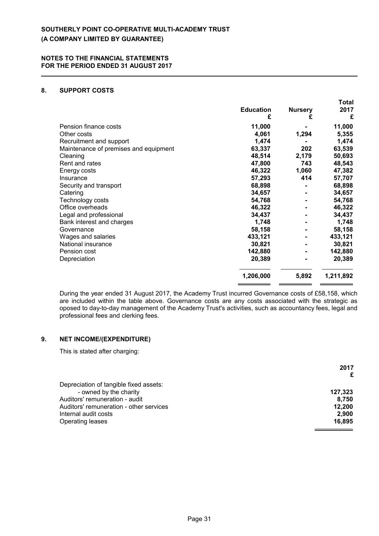## **8. SUPPORT COSTS**

|                                       | <b>Education</b> | <b>Nursery</b> | ι νιαι<br>2017<br>£ |
|---------------------------------------|------------------|----------------|---------------------|
|                                       | £                | £              |                     |
| Pension finance costs                 | 11,000           |                | 11,000              |
| Other costs                           | 4,061            | 1,294          | 5,355               |
| Recruitment and support               | 1,474            |                | 1,474               |
| Maintenance of premises and equipment | 63,337           | 202            | 63,539              |
| Cleaning                              | 48,514           | 2,179          | 50,693              |
| Rent and rates                        | 47,800           | 743            | 48,543              |
| Energy costs                          | 46,322           | 1,060          | 47,382              |
| Insurance                             | 57,293           | 414            | 57,707              |
| Security and transport                | 68,898           |                | 68,898              |
| Catering                              | 34,657           |                | 34,657              |
| Technology costs                      | 54,768           |                | 54,768              |
| Office overheads                      | 46,322           |                | 46,322              |
| Legal and professional                | 34,437           |                | 34,437              |
| Bank interest and charges             | 1,748            |                | 1,748               |
| Governance                            | 58,158           |                | 58,158              |
| Wages and salaries                    | 433,121          |                | 433,121             |
| National insurance                    | 30,821           | ۰              | 30,821              |
| Pension cost                          | 142,880          |                | 142,880             |
| Depreciation                          | 20,389           | $\blacksquare$ | 20,389              |
|                                       | 1,206,000        | 5,892          | 1,211,892           |

**Total**

During the year ended 31 August 2017, the Academy Trust incurred Governance costs of £58,158, which are included within the table above. Governance costs are any costs associated with the strategic as oposed to day-to-day management of the Academy Trust's activities, such as accountancy fees, legal and professional fees and clerking fees.

## **9. NET INCOME/(EXPENDITURE)**

This is stated after charging:

|                                         | 2017    |
|-----------------------------------------|---------|
| Depreciation of tangible fixed assets:  |         |
| - owned by the charity                  | 127.323 |
| Auditors' remuneration - audit          | 8.750   |
| Auditors' remuneration - other services | 12,200  |
| Internal audit costs                    | 2.900   |
| <b>Operating leases</b>                 | 16.895  |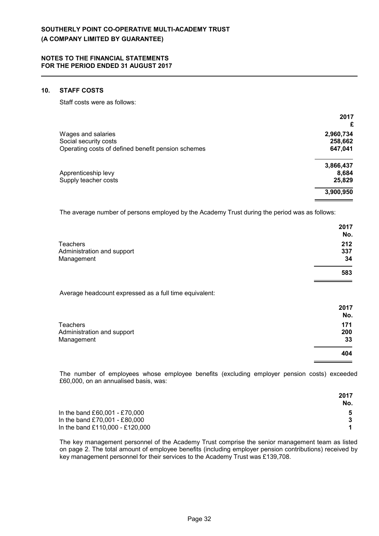#### **10. STAFF COSTS**

Staff costs were as follows:

| 2017      |
|-----------|
| £         |
| 2,960,734 |
| 258,662   |
| 647,041   |
| 3,866,437 |
| 8,684     |
| 25,829    |
| 3,900,950 |
|           |

The average number of persons employed by the Academy Trust during the period was as follows:

|                            | 2017<br>No. |
|----------------------------|-------------|
| <b>Teachers</b>            | 212         |
| Administration and support | 337         |
| Management                 | 34          |
|                            | 583         |

Average headcount expressed as a full time equivalent:

|                            | 2017 |
|----------------------------|------|
|                            | No.  |
| Teachers                   | 171  |
| Administration and support | 200  |
| Management                 | 33   |
|                            | 404  |

The number of employees whose employee benefits (excluding employer pension costs) exceeded £60,000, on an annualised basis, was:

|                                 | 2017 |
|---------------------------------|------|
|                                 | No.  |
| In the band £60,001 - £70,000   |      |
| In the band £70,001 - £80,000   |      |
| In the band £110,000 - £120,000 |      |

The key management personnel of the Academy Trust comprise the senior management team as listed on page 2. The total amount of employee benefits (including employer pension contributions) received by key management personnel for their services to the Academy Trust was £139,708.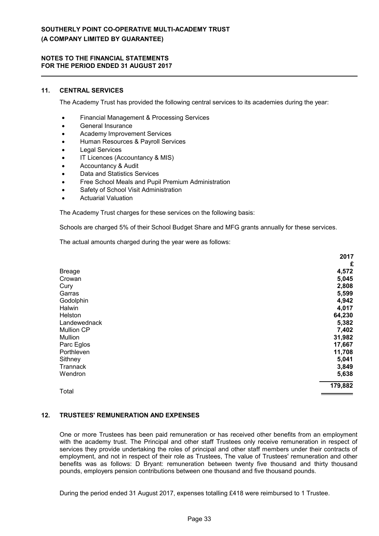#### **NOTES TO THE FINANCIAL STATEMENTS FOR THE PERIOD ENDED 31 AUGUST 2017**

## **11. CENTRAL SERVICES**

The Academy Trust has provided the following central services to its academies during the year:

- Financial Management & Processing Services
- **•** General Insurance
- Academy Improvement Services
- Human Resources & Payroll Services
- Legal Services
- IT Licences (Accountancy & MIS)
- Accountancy & Audit
- Data and Statistics Services
- Free School Meals and Pupil Premium Administration
- Safety of School Visit Administration
- Actuarial Valuation

The Academy Trust charges for these services on the following basis:

Schools are charged 5% of their School Budget Share and MFG grants annually for these services.

The actual amounts charged during the year were as follows:

|                   | 2017    |
|-------------------|---------|
|                   | £       |
| <b>Breage</b>     | 4,572   |
| Crowan            | 5,045   |
| Cury              | 2,808   |
| Garras            | 5,599   |
| Godolphin         | 4,942   |
| Halwin            | 4,017   |
| Helston           | 64,230  |
| Landewednack      | 5,382   |
| <b>Mullion CP</b> | 7,402   |
| Mullion           | 31,982  |
| Parc Eglos        | 17,667  |
| Porthleven        | 11,708  |
| Sithney           | 5,041   |
| Trannack          | 3,849   |
| Wendron           | 5,638   |
| Total             | 179,882 |

### **12. TRUSTEES' REMUNERATION AND EXPENSES**

One or more Trustees has been paid remuneration or has received other benefits from an employment with the academy trust. The Principal and other staff Trustees only receive remuneration in respect of services they provide undertaking the roles of principal and other staff members under their contracts of employment, and not in respect of their role as Trustees, The value of Trustees' remuneration and other benefits was as follows: D Bryant: remuneration between twenty five thousand and thirty thousand pounds, employers pension contributions between one thousand and five thousand pounds.

During the period ended 31 August 2017, expenses totalling £418 were reimbursed to 1 Trustee.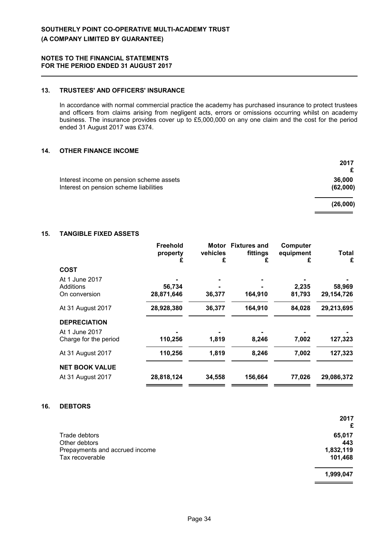## **13. TRUSTEES' AND OFFICERS' INSURANCE**

In accordance with normal commercial practice the academy has purchased insurance to protect trustees and officers from claims arising from negligent acts, errors or omissions occurring whilst on academy business. The insurance provides cover up to £5,000,000 on any one claim and the cost for the period ended 31 August 2017 was £374.

## **14. OTHER FINANCE INCOME**

|                                                                                    | 2017               |
|------------------------------------------------------------------------------------|--------------------|
| Interest income on pension scheme assets<br>Interest on pension scheme liabilities | 36,000<br>(62,000) |
|                                                                                    | (26,000)           |

## **15. TANGIBLE FIXED ASSETS**

|                             | <b>Freehold</b><br>property<br>£ | vehicles<br>£ | Motor Fixtures and<br>fittings<br>£ | Computer<br>equipment<br>£ | <b>Total</b><br>£ |
|-----------------------------|----------------------------------|---------------|-------------------------------------|----------------------------|-------------------|
| <b>COST</b>                 |                                  |               |                                     |                            |                   |
| At 1 June 2017<br>Additions | 56,734                           |               |                                     | 2,235                      | 58,969            |
| On conversion               | 28,871,646                       | 36,377        | 164,910                             | 81,793                     | 29,154,726        |
| At 31 August 2017           | 28,928,380                       | 36,377        | 164,910                             | 84,028                     | 29,213,695        |
| <b>DEPRECIATION</b>         |                                  |               |                                     |                            |                   |
| At 1 June 2017              |                                  |               |                                     |                            |                   |
| Charge for the period       | 110,256                          | 1,819         | 8,246                               | 7,002                      | 127,323           |
| At 31 August 2017           | 110,256                          | 1,819         | 8,246                               | 7,002                      | 127,323           |
| <b>NET BOOK VALUE</b>       |                                  |               |                                     |                            |                   |
| At 31 August 2017           | 28,818,124                       | 34,558        | 156,664                             | 77,026                     | 29,086,372        |

#### **16. DEBTORS**

|                                | 2017<br>£ |
|--------------------------------|-----------|
| Trade debtors                  | 65,017    |
| Other debtors                  | 443       |
| Prepayments and accrued income | 1,832,119 |
| Tax recoverable                | 101,468   |
|                                | 1,999,047 |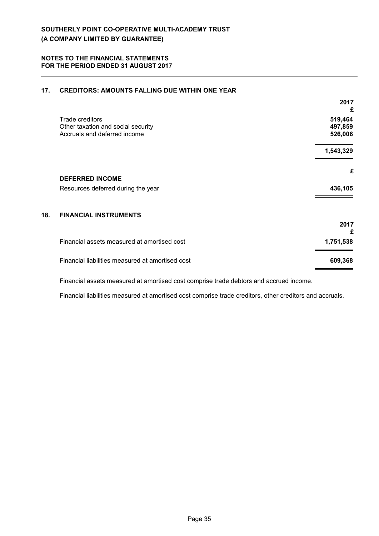| 17. | <b>CREDITORS: AMOUNTS FALLING DUE WITHIN ONE YEAR</b> |
|-----|-------------------------------------------------------|
|     |                                                       |

Financial assets measured at amortised cost comprise trade debtors and accrued income.

Financial liabilities measured at amortised cost comprise trade creditors, other creditors and accruals.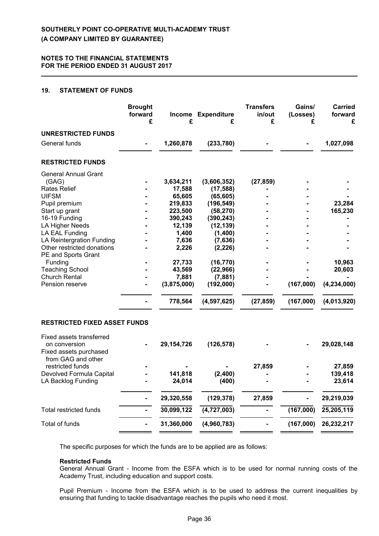### **19. STATEMENT OF FUNDS**

|                                                                                           | <b>Brought</b><br>forward<br>£ | £            | Income Expenditure<br>£ | <b>Transfers</b><br>in/out<br>£ | Gains/<br>(Losses)<br>£ | Carried<br>forward<br>£ |
|-------------------------------------------------------------------------------------------|--------------------------------|--------------|-------------------------|---------------------------------|-------------------------|-------------------------|
| <b>UNRESTRICTED FUNDS</b>                                                                 |                                |              |                         |                                 |                         |                         |
| General funds                                                                             |                                | 1,260,878    | (233, 780)              |                                 |                         | 1,027,098               |
| <b>RESTRICTED FUNDS</b>                                                                   |                                |              |                         |                                 |                         |                         |
| <b>General Annual Grant</b>                                                               |                                |              |                         |                                 |                         |                         |
| (GAG)                                                                                     |                                | 3,634,211    | (3,606,352)             | (27, 859)                       |                         |                         |
| Rates Relief                                                                              |                                | 17,588       | (17, 588)               |                                 |                         |                         |
| <b>UIFSM</b>                                                                              |                                | 65,605       | (65, 605)               |                                 |                         |                         |
| Pupil premium                                                                             |                                | 219,833      | (196, 549)              |                                 |                         | 23,284                  |
| Start up grant                                                                            |                                | 223,500      | (58, 270)               |                                 |                         | 165,230                 |
| 16-19 Funding                                                                             |                                | 390,243      | (390, 243)              |                                 |                         |                         |
| <b>LA Higher Needs</b>                                                                    |                                | 12,139       | (12, 139)               |                                 |                         |                         |
| LA EAL Funding                                                                            |                                | 1,400        | (1,400)                 |                                 |                         |                         |
| LA Reintergration Funding                                                                 |                                | 7,636        | (7,636)                 |                                 |                         |                         |
| Other restricted donations<br>PE and Sports Grant                                         |                                | 2,226        | (2, 226)                |                                 |                         |                         |
| Funding                                                                                   |                                | 27,733       | (16, 770)               |                                 |                         | 10,963                  |
| <b>Teaching School</b>                                                                    |                                | 43,569       | (22, 966)               |                                 |                         | 20,603                  |
| <b>Church Rental</b>                                                                      |                                | 7,881        | (7,881)                 |                                 |                         |                         |
| Pension reserve                                                                           |                                | (3,875,000)  | (192,000)               |                                 | (167,000)               | (4, 234, 000)           |
|                                                                                           |                                | 778,564      | (4, 597, 625)           | (27, 859)                       | (167,000)               | (4,013,920)             |
| <b>RESTRICTED FIXED ASSET FUNDS</b>                                                       |                                |              |                         |                                 |                         |                         |
| Fixed assets transferred<br>on conversion<br>Fixed assets purchased<br>from GAG and other |                                | 29, 154, 726 | (126, 578)              |                                 |                         | 29,028,148              |
| restricted funds                                                                          |                                |              |                         | 27,859                          |                         | 27,859                  |
| Devolved Formula Capital                                                                  |                                | 141,818      | (2,400)                 |                                 |                         | 139,418                 |
| LA Backlog Funding                                                                        |                                | 24,014       | (400)                   |                                 |                         | 23,614                  |
|                                                                                           |                                | 29,320,558   | (129, 378)              | 27,859                          |                         | 29,219,039              |
| <b>Total restricted funds</b>                                                             |                                | 30,099,122   | (4,727,003)             |                                 | (167,000)               | 25,205,119              |
| <b>Total of funds</b>                                                                     |                                | 31,360,000   | (4,960,783)             |                                 | (167,000)               | 26,232,217              |

The specific purposes for which the funds are to be applied are as follows:

#### **Restricted Funds**

General Annual Grant - Income from the ESFA which is to be used for normal running costs of the Academy Trust, including education and support costs.

Pupil Premium - Income from the ESFA which is to be used to address the current inequalities by ensuring that funding to tackle disadvantage reaches the pupils who need it most.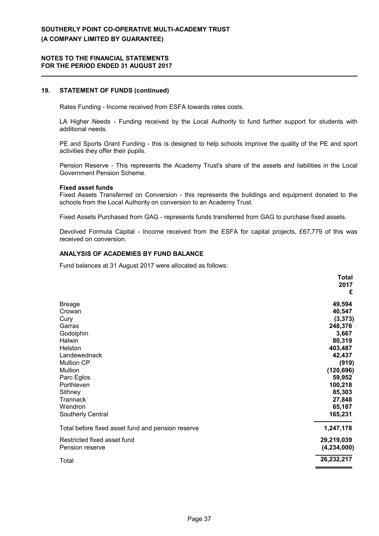#### **NOTES TO THE FINANCIAL STATEMENTS FOR THE PERIOD ENDED 31 AUGUST 2017**

#### **19. STATEMENT OF FUNDS (continued)**

Rates Funding - Income received from ESFA towards rates costs.

LA Higher Needs - Funding received by the Local Authority to fund further support for students with additional needs.

PE and Sports Grant Funding - this is designed to help schools improve the quality of the PE and sport activities they offer their pupils.

Pension Reserve - This represents the Academy Trust's share of the assets and liabilities in the Local Government Pension Scheme.

#### **Fixed asset funds**

Fixed Assets Transferred on Conversion - this represents the buildings and equipment donated to the schools from the Local Authority on conversion to an Academy Trust.

Fixed Assets Purchased from GAG - represents funds transferred from GAG to purchase fixed assets.

Devolved Formula Capital - Income received from the ESFA for capital projects, £67,779 of this was received on conversion.

#### **ANALYSIS OF ACADEMIES BY FUND BALANCE**

Fund balances at 31 August 2017 were allocated as follows:

|                                                   | <b>Total</b>  |
|---------------------------------------------------|---------------|
|                                                   | 2017          |
|                                                   | £             |
| <b>Breage</b>                                     | 49,594        |
| Crowan                                            | 40,547        |
| Cury                                              | (3, 373)      |
| Garras                                            | 248,376       |
| Godolphin                                         | 3,667         |
| Halwin                                            | 80,319        |
| Helston                                           | 403,487       |
| Landewednack                                      | 42,437        |
| Mullion CP                                        | (919)         |
| Mullion                                           | (120, 696)    |
| Parc Eglos                                        | 59,952        |
| Porthleven                                        | 100,218       |
| Sithney                                           | 85,303        |
| Trannack                                          | 27,848        |
| Wendron                                           | 65,187        |
| Southerly Central                                 | 165,231       |
| Total before fixed asset fund and pension reserve | 1,247,178     |
| Restricted fixed asset fund                       | 29,219,039    |
| Pension reserve                                   | (4, 234, 000) |
| Total                                             | 26,232,217    |
|                                                   |               |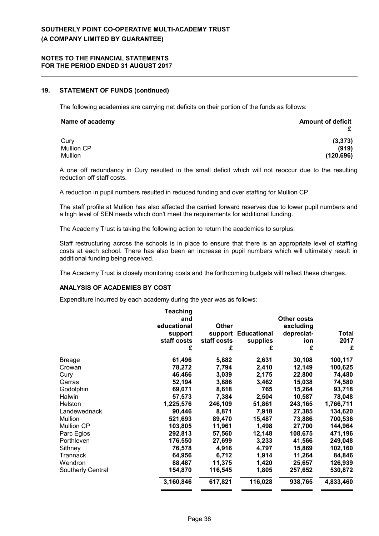#### **NOTES TO THE FINANCIAL STATEMENTS FOR THE PERIOD ENDED 31 AUGUST 2017**

#### **19. STATEMENT OF FUNDS (continued)**

The following academies are carrying net deficits on their portion of the funds as follows:

| Name of academy | <b>Amount of deficit</b> |
|-----------------|--------------------------|
| Cury            | (3, 373)                 |
| Mullion CP      | (919)                    |
| Mullion         | (120, 696)               |

A one off redundancy in Cury resulted in the small deficit which will not reoccur due to the resulting reduction off staff costs.

A reduction in pupil numbers resulted in reduced funding and over staffing for Mullion CP.

The staff profile at Mullion has also affected the carried forward reserves due to lower pupil numbers and a high level of SEN needs which don't meet the requirements for additional funding.

The Academy Trust is taking the following action to return the academies to surplus:

Staff restructuring across the schools is in place to ensure that there is an appropriate level of staffing costs at each school. There has also been an increase in pupil numbers which will ultimately result in additional funding being received.

The Academy Trust is closely monitoring costs and the forthcoming budgets will reflect these changes.

#### **ANALYSIS OF ACADEMIES BY COST**

Expenditure incurred by each academy during the year was as follows:

|                   | Teaching    |              |                    |                    |           |
|-------------------|-------------|--------------|--------------------|--------------------|-----------|
|                   | and         |              |                    | <b>Other costs</b> |           |
|                   | educational | <b>Other</b> |                    | excluding          |           |
|                   | support     | support      | <b>Educational</b> | depreciat-         | Total     |
|                   | staff costs | staff costs  | supplies           | ion                | 2017      |
|                   | £           | £            | £                  | £                  | £         |
| <b>Breage</b>     | 61,496      | 5,882        | 2,631              | 30,108             | 100,117   |
| Crowan            | 78,272      | 7,794        | 2,410              | 12,149             | 100,625   |
| Cury              | 46,466      | 3,039        | 2,175              | 22,800             | 74,480    |
| Garras            | 52,194      | 3,886        | 3,462              | 15,038             | 74,580    |
| Godolphin         | 69,071      | 8,618        | 765                | 15,264             | 93,718    |
| Halwin            | 57,573      | 7,384        | 2,504              | 10,587             | 78,048    |
| Helston           | 1,225,576   | 246,109      | 51,861             | 243,165            | 1,766,711 |
| Landewednack      | 90,446      | 8,871        | 7,918              | 27,385             | 134,620   |
| Mullion           | 521,693     | 89,470       | 15,487             | 73,886             | 700,536   |
| <b>Mullion CP</b> | 103,805     | 11,961       | 1,498              | 27,700             | 144,964   |
| Parc Eglos        | 292,813     | 57,560       | 12,148             | 108,675            | 471,196   |
| Porthleven        | 176,550     | 27,699       | 3,233              | 41,566             | 249,048   |
| Sithney           | 76,578      | 4,916        | 4,797              | 15,869             | 102,160   |
| Trannack          | 64,956      | 6,712        | 1,914              | 11,264             | 84,846    |
| Wendron           | 88,487      | 11,375       | 1,420              | 25,657             | 126,939   |
| Southerly Central | 154,870     | 116,545      | 1,805              | 257,652            | 530,872   |
|                   | 3,160,846   | 617,821      | 116,028            | 938,765            | 4,833,460 |
|                   |             |              |                    |                    |           |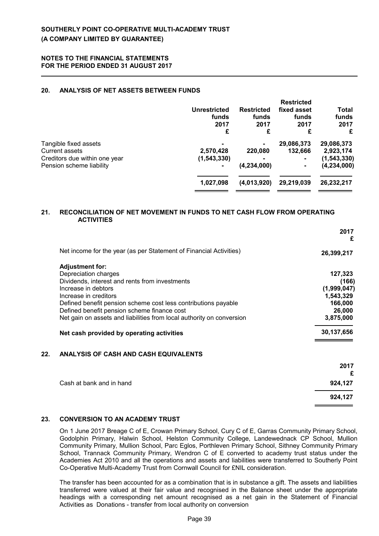### **20. ANALYSIS OF NET ASSETS BETWEEN FUNDS**

|                               | Unrestricted<br>funds<br>2017<br>£ | <b>Restricted</b><br>funds<br>2017<br>£ | <b>Restricted</b><br>fixed asset<br>funds<br>2017<br>£ | Total<br>funds<br>2017<br>£ |
|-------------------------------|------------------------------------|-----------------------------------------|--------------------------------------------------------|-----------------------------|
| Tangible fixed assets         |                                    | 220,080                                 | 29,086,373                                             | 29,086,373                  |
| <b>Current assets</b>         | 2,570,428                          |                                         | 132,666                                                | 2,923,174                   |
| Creditors due within one year | (1, 543, 330)                      |                                         | $\blacksquare$                                         | (1, 543, 330)               |
| Pension scheme liability      | $\blacksquare$                     | (4,234,000)                             |                                                        | (4, 234, 000)               |
|                               | 1,027,098                          | (4,013,920)                             | 29,219,039                                             | 26,232,217                  |

#### **21. RECONCILIATION OF NET MOVEMENT IN FUNDS TO NET CASH FLOW FROM OPERATING ACTIVITIES**

|                                                                       | 2017<br>£   |
|-----------------------------------------------------------------------|-------------|
| Net income for the year (as per Statement of Financial Activities)    | 26,399,217  |
| <b>Adjustment for:</b>                                                |             |
| Depreciation charges                                                  | 127,323     |
| Dividends, interest and rents from investments                        | (166)       |
| Increase in debtors                                                   | (1,999,047) |
| Increase in creditors                                                 | 1,543,329   |
| Defined benefit pension scheme cost less contributions payable        | 166,000     |
| Defined benefit pension scheme finance cost                           | 26,000      |
| Net gain on assets and liabilities from local authority on conversion | 3,875,000   |
| Net cash provided by operating activities                             | 30,137,656  |
| ANALYSIS OF CASH AND CASH EQUIVALENTS                                 |             |

|                          | 2017<br>£ |
|--------------------------|-----------|
|                          |           |
| Cash at bank and in hand | 924,127   |
|                          | 924,127   |

## **23. CONVERSION TO AN ACADEMY TRUST**

On 1 June 2017 Breage C of E, Crowan Primary School, Cury C of E, Garras Community Primary School, Godolphin Primary, Halwin School, Helston Community College, Landewednack CP School, Mullion Community Primary, Mullion School, Parc Eglos, Porthleven Primary School, Sithney Community Primary School, Trannack Community Primary, Wendron C of E converted to academy trust status under the Academies Act 2010 and all the operations and assets and liabilities were transferred to Southerly Point Co-Operative Multi-Academy Trust from Cornwall Council for £NIL consideration.

The transfer has been accounted for as a combination that is in substance a gift. The assets and liabilities transferred were valued at their fair value and recognised in the Balance sheet under the appropriate headings with a corresponding net amount recognised as a net gain in the Statement of Financial Activities as Donations - transfer from local authority on conversion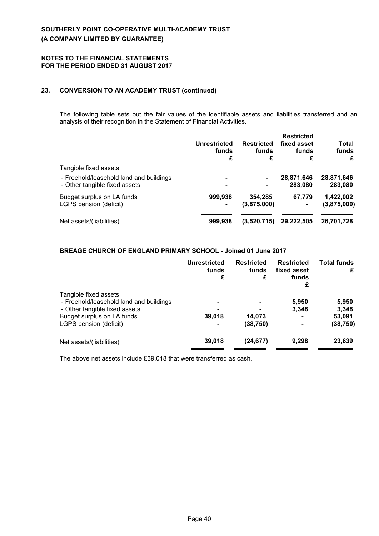## **23. CONVERSION TO AN ACADEMY TRUST (continued)**

The following table sets out the fair values of the identifiable assets and liabilities transferred and an analysis of their recognition in the Statement of Financial Activities.

| £           |
|-------------|
|             |
| 28,871,646  |
| 283,080     |
| 1,422,002   |
| (3,875,000) |
|             |
| 26,701,728  |
|             |

## **BREAGE CHURCH OF ENGLAND PRIMARY SCHOOL - Joined 01 June 2017**

|                                                                                                   | Unrestricted<br>funds<br>£ | <b>Restricted</b><br>funds<br>£ | <b>Restricted</b><br>fixed asset<br>funds<br>£ | <b>Total funds</b><br>£ |
|---------------------------------------------------------------------------------------------------|----------------------------|---------------------------------|------------------------------------------------|-------------------------|
| Tangible fixed assets<br>- Freehold/leasehold land and buildings<br>- Other tangible fixed assets |                            |                                 | 5,950<br>3,348                                 | 5,950<br>3,348          |
| Budget surplus on LA funds<br>LGPS pension (deficit)                                              | 39,018                     | 14,073<br>(38, 750)             | -                                              | 53,091<br>(38, 750)     |
| Net assets/(liabilities)                                                                          | 39,018                     | (24, 677)                       | 9,298                                          | 23,639                  |

The above net assets include £39,018 that were transferred as cash.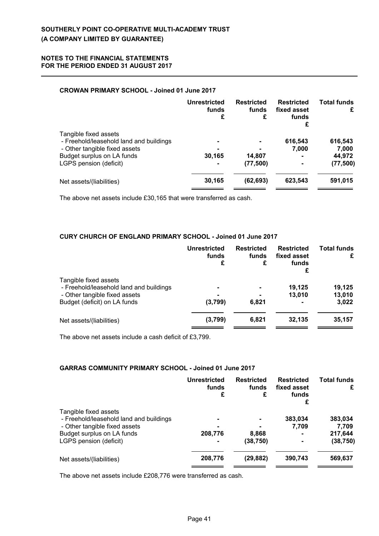## **CROWAN PRIMARY SCHOOL - Joined 01 June 2017**

|                                                                                                                                                           | Unrestricted<br>funds<br>£                 | <b>Restricted</b><br>funds<br>£ | <b>Restricted</b><br>fixed asset<br>funds<br>£ | <b>Total funds</b><br>£                 |
|-----------------------------------------------------------------------------------------------------------------------------------------------------------|--------------------------------------------|---------------------------------|------------------------------------------------|-----------------------------------------|
| Tangible fixed assets<br>- Freehold/leasehold land and buildings<br>- Other tangible fixed assets<br>Budget surplus on LA funds<br>LGPS pension (deficit) | $\blacksquare$<br>30,165<br>$\blacksquare$ | 14,807<br>(77, 500)             | 616,543<br>7,000<br>-<br>$\blacksquare$        | 616,543<br>7,000<br>44,972<br>(77, 500) |
| Net assets/(liabilities)                                                                                                                                  | 30,165                                     | (62, 693)                       | 623,543                                        | 591,015                                 |

The above net assets include £30,165 that were transferred as cash.

## **CURY CHURCH OF ENGLAND PRIMARY SCHOOL - Joined 01 June 2017**

|                                                                  | <b>Unrestricted</b><br>funds<br>£ | <b>Restricted</b><br>funds<br>£ | <b>Restricted</b><br>fixed asset<br>funds<br>£ | <b>Total funds</b><br>£ |
|------------------------------------------------------------------|-----------------------------------|---------------------------------|------------------------------------------------|-------------------------|
| Tangible fixed assets<br>- Freehold/leasehold land and buildings |                                   | $\blacksquare$                  | 19,125                                         | 19,125                  |
| - Other tangible fixed assets<br>Budget (deficit) on LA funds    | (3,799)                           | 6,821                           | 13,010                                         | 13,010<br>3,022         |
| Net assets/(liabilities)                                         | (3,799)                           | 6.821                           | 32,135                                         | 35,157                  |

The above net assets include a cash deficit of £3,799.

## **GARRAS COMMUNITY PRIMARY SCHOOL - Joined 01 June 2017**

|                                                                                       | Unrestricted<br>funds<br>£ | <b>Restricted</b><br>funds<br>£ | <b>Restricted</b><br>fixed asset<br>funds<br>£ | <b>Total funds</b><br>£       |
|---------------------------------------------------------------------------------------|----------------------------|---------------------------------|------------------------------------------------|-------------------------------|
| Tangible fixed assets<br>- Freehold/leasehold land and buildings                      |                            |                                 | 383,034                                        | 383,034                       |
| - Other tangible fixed assets<br>Budget surplus on LA funds<br>LGPS pension (deficit) | 208,776<br>$\blacksquare$  | 8,868<br>(38, 750)              | 7.709<br>۰<br>۰                                | 7,709<br>217,644<br>(38, 750) |
| Net assets/(liabilities)                                                              | 208,776                    | (29, 882)                       | 390,743                                        | 569,637                       |

The above net assets include £208,776 were transferred as cash.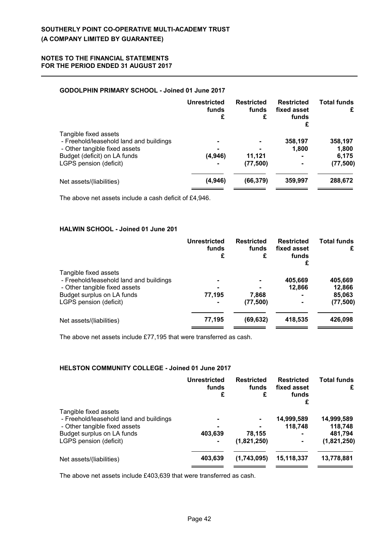## **GODOLPHIN PRIMARY SCHOOL - Joined 01 June 2017**

|                                                                                                                                                             | <b>Unrestricted</b><br>funds<br>£                             | <b>Restricted</b><br>funds<br>£ | <b>Restricted</b><br>fixed asset<br>funds<br>£ | <b>Total funds</b><br>£                |
|-------------------------------------------------------------------------------------------------------------------------------------------------------------|---------------------------------------------------------------|---------------------------------|------------------------------------------------|----------------------------------------|
| Tangible fixed assets<br>- Freehold/leasehold land and buildings<br>- Other tangible fixed assets<br>Budget (deficit) on LA funds<br>LGPS pension (deficit) | $\blacksquare$<br>$\blacksquare$<br>(4,946)<br>$\blacksquare$ | 11,121<br>(77, 500)             | 358,197<br>1,800<br>-                          | 358,197<br>1,800<br>6,175<br>(77, 500) |
| Net assets/(liabilities)                                                                                                                                    | (4,946)                                                       | (66, 379)                       | 359,997                                        | 288,672                                |

The above net assets include a cash deficit of £4,946.

## **HALWIN SCHOOL - Joined 01 June 201**

|                                                                                                   | <b>Unrestricted</b><br>funds<br>£ | <b>Restricted</b><br>funds<br>£ | <b>Restricted</b><br>fixed asset<br>funds<br>£ | <b>Total funds</b><br>£ |
|---------------------------------------------------------------------------------------------------|-----------------------------------|---------------------------------|------------------------------------------------|-------------------------|
| Tangible fixed assets<br>- Freehold/leasehold land and buildings<br>- Other tangible fixed assets | ۰                                 |                                 | 405,669<br>12,866                              | 405,669<br>12,866       |
| Budget surplus on LA funds<br>LGPS pension (deficit)                                              | 77,195                            | 7,868<br>(77, 500)              | ۰<br>۰                                         | 85,063<br>(77, 500)     |
| Net assets/(liabilities)                                                                          | 77,195                            | (69, 632)                       | 418,535                                        | 426,098                 |

The above net assets include £77,195 that were transferred as cash.

## **HELSTON COMMUNITY COLLEGE - Joined 01 June 2017**

|                                                                  | Unrestricted<br>funds<br>£ | <b>Restricted</b><br>funds<br>£ | <b>Restricted</b><br>fixed asset<br>funds<br>£ | <b>Total funds</b><br>£ |
|------------------------------------------------------------------|----------------------------|---------------------------------|------------------------------------------------|-------------------------|
| Tangible fixed assets<br>- Freehold/leasehold land and buildings | $\blacksquare$             |                                 | 14,999,589                                     | 14,999,589              |
| - Other tangible fixed assets                                    | -                          |                                 | 118,748                                        | 118,748                 |
| Budget surplus on LA funds                                       | 403,639                    | 78,155                          | ۰                                              | 481,794                 |
| LGPS pension (deficit)                                           | $\blacksquare$             | (1,821,250)                     |                                                | (1,821,250)             |
| Net assets/(liabilities)                                         | 403,639                    | (1,743,095)                     | 15,118,337                                     | 13,778,881              |
|                                                                  |                            |                                 |                                                |                         |

The above net assets include £403,639 that were transferred as cash.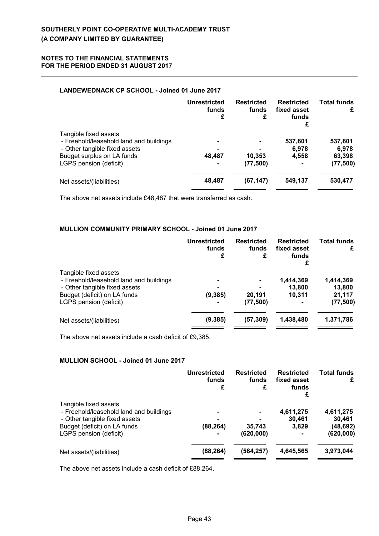## **LANDEWEDNACK CP SCHOOL - Joined 01 June 2017**

|                                                                                                                                                           | Unrestricted<br>funds<br>£                 | <b>Restricted</b><br>funds<br>£ | <b>Restricted</b><br>fixed asset<br>funds<br>£ | <b>Total funds</b><br>£                 |
|-----------------------------------------------------------------------------------------------------------------------------------------------------------|--------------------------------------------|---------------------------------|------------------------------------------------|-----------------------------------------|
| Tangible fixed assets<br>- Freehold/leasehold land and buildings<br>- Other tangible fixed assets<br>Budget surplus on LA funds<br>LGPS pension (deficit) | $\blacksquare$<br>48,487<br>$\blacksquare$ | 10,353<br>(77, 500)             | 537,601<br>6,978<br>4,558<br>$\blacksquare$    | 537,601<br>6,978<br>63,398<br>(77, 500) |
| Net assets/(liabilities)                                                                                                                                  | 48,487                                     | (67, 147)                       | 549,137                                        | 530,477                                 |

The above net assets include £48,487 that were transferred as cash.

### **MULLION COMMUNITY PRIMARY SCHOOL - Joined 01 June 2017**

|                                                                                                   | <b>Unrestricted</b><br>funds<br>£ | <b>Restricted</b><br>funds<br>£ | <b>Restricted</b><br>fixed asset<br>funds<br>£ | <b>Total funds</b><br>£ |
|---------------------------------------------------------------------------------------------------|-----------------------------------|---------------------------------|------------------------------------------------|-------------------------|
| Tangible fixed assets<br>- Freehold/leasehold land and buildings<br>- Other tangible fixed assets |                                   |                                 | 1,414,369<br>13,800                            | 1,414,369<br>13,800     |
| Budget (deficit) on LA funds<br>LGPS pension (deficit)                                            | (9, 385)                          | 20,191<br>(77, 500)             | 10.311                                         | 21,117<br>(77, 500)     |
| Net assets/(liabilities)                                                                          | (9, 385)                          | (57, 309)                       | 1,438,480                                      | 1,371,786               |

The above net assets include a cash deficit of £9,385.

## **MULLION SCHOOL - Joined 01 June 2017**

|                                                                  | <b>Unrestricted</b><br>funds<br>£ | <b>Restricted</b><br>funds<br>£ | <b>Restricted</b><br>fixed asset<br>funds<br>£ | <b>Total funds</b><br>£ |
|------------------------------------------------------------------|-----------------------------------|---------------------------------|------------------------------------------------|-------------------------|
| Tangible fixed assets<br>- Freehold/leasehold land and buildings |                                   |                                 | 4,611,275                                      | 4,611,275               |
| - Other tangible fixed assets                                    |                                   |                                 | 30.461                                         | 30,461                  |
| Budget (deficit) on LA funds                                     | (88, 264)                         | 35,743                          | 3.829                                          | (48, 692)               |
| LGPS pension (deficit)                                           |                                   | (620,000)                       |                                                | (620, 000)              |
| Net assets/(liabilities)                                         | (88, 264)                         | (584, 257)                      | 4,645,565                                      | 3,973,044               |
|                                                                  |                                   |                                 |                                                |                         |

The above net assets include a cash deficit of £88,264.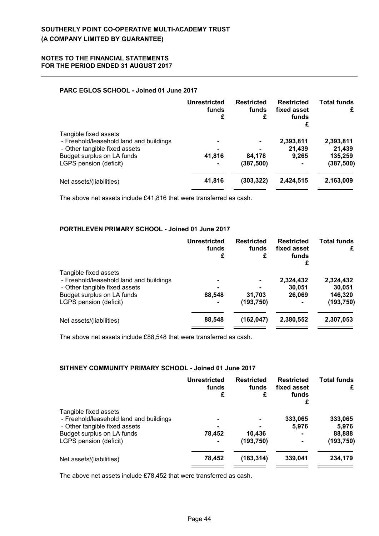## **PARC EGLOS SCHOOL - Joined 01 June 2017**

|                                                                                                                                                           | <b>Unrestricted</b><br>funds<br>£                            | <b>Restricted</b><br>funds<br>£ | <b>Restricted</b><br>fixed asset<br>funds<br>£ | <b>Total funds</b><br>£                      |
|-----------------------------------------------------------------------------------------------------------------------------------------------------------|--------------------------------------------------------------|---------------------------------|------------------------------------------------|----------------------------------------------|
| Tangible fixed assets<br>- Freehold/leasehold land and buildings<br>- Other tangible fixed assets<br>Budget surplus on LA funds<br>LGPS pension (deficit) | $\blacksquare$<br>$\blacksquare$<br>41,816<br>$\blacksquare$ | 84,178<br>(387, 500)            | 2,393,811<br>21,439<br>9.265<br>۰              | 2,393,811<br>21,439<br>135,259<br>(387, 500) |
| Net assets/(liabilities)                                                                                                                                  | 41,816                                                       | (303,322)                       | 2,424,515                                      | 2,163,009                                    |

The above net assets include £41,816 that were transferred as cash.

### **PORTHLEVEN PRIMARY SCHOOL - Joined 01 June 2017**

|                                                                                       | <b>Unrestricted</b><br>funds<br>£ | <b>Restricted</b><br>funds<br>£ | <b>Restricted</b><br>fixed asset<br>funds<br>£ | <b>Total funds</b><br>£         |
|---------------------------------------------------------------------------------------|-----------------------------------|---------------------------------|------------------------------------------------|---------------------------------|
| Tangible fixed assets<br>- Freehold/leasehold land and buildings                      |                                   | $\blacksquare$                  | 2,324,432                                      | 2,324,432                       |
| - Other tangible fixed assets<br>Budget surplus on LA funds<br>LGPS pension (deficit) | 88,548<br>$\blacksquare$          | 31,703<br>(193, 750)            | 30,051<br>26,069                               | 30,051<br>146,320<br>(193, 750) |
| Net assets/(liabilities)                                                              | 88,548                            | (162, 047)                      | 2,380,552                                      | 2,307,053                       |

The above net assets include £88,548 that were transferred as cash.

## **SITHNEY COMMUNITY PRIMARY SCHOOL - Joined 01 June 2017**

|                                                                  | <b>Unrestricted</b><br>funds<br>£ | <b>Restricted</b><br>funds<br>£ | <b>Restricted</b><br>fixed asset<br>funds<br>£ | <b>Total funds</b><br>£ |
|------------------------------------------------------------------|-----------------------------------|---------------------------------|------------------------------------------------|-------------------------|
| Tangible fixed assets<br>- Freehold/leasehold land and buildings |                                   |                                 | 333,065                                        | 333,065                 |
| - Other tangible fixed assets                                    |                                   |                                 | 5.976                                          | 5,976                   |
| Budget surplus on LA funds                                       | 78,452                            | 10,436                          | ۰                                              | 88,888                  |
| LGPS pension (deficit)                                           |                                   | (193,750)                       | ۰                                              | (193,750)               |
| Net assets/(liabilities)                                         | 78.452                            | (183, 314)                      | 339,041                                        | 234,179                 |

The above net assets include £78,452 that were transferred as cash.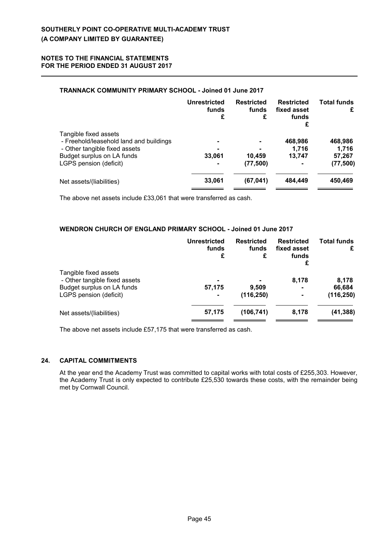## **TRANNACK COMMUNITY PRIMARY SCHOOL - Joined 01 June 2017**

|                                                                                                                                                           | <b>Unrestricted</b><br>funds<br>£ | <b>Restricted</b><br>funds<br>£ | <b>Restricted</b><br>fixed asset<br>funds<br>£ | <b>Total funds</b><br>£                 |
|-----------------------------------------------------------------------------------------------------------------------------------------------------------|-----------------------------------|---------------------------------|------------------------------------------------|-----------------------------------------|
| Tangible fixed assets<br>- Freehold/leasehold land and buildings<br>- Other tangible fixed assets<br>Budget surplus on LA funds<br>LGPS pension (deficit) | ۰<br>33,061<br>$\blacksquare$     | 10,459<br>(77, 500)             | 468,986<br>1.716<br>13.747<br>۰                | 468,986<br>1,716<br>57,267<br>(77, 500) |
| Net assets/(liabilities)                                                                                                                                  | 33,061                            | (67, 041)                       | 484,449                                        | 450,469                                 |

The above net assets include £33,061 that were transferred as cash.

### **WENDRON CHURCH OF ENGLAND PRIMARY SCHOOL - Joined 01 June 2017**

|                                                        | Unrestricted<br>funds<br>£ | <b>Restricted</b><br>funds<br>£ | <b>Restricted</b><br>fixed asset<br>funds<br>£ | <b>Total funds</b><br>£ |
|--------------------------------------------------------|----------------------------|---------------------------------|------------------------------------------------|-------------------------|
| Tangible fixed assets<br>- Other tangible fixed assets |                            |                                 | 8.178                                          | 8,178                   |
| Budget surplus on LA funds<br>LGPS pension (deficit)   | 57,175<br>$\blacksquare$   | 9,509<br>(116, 250)             | ۰<br>$\blacksquare$                            | 66,684<br>(116, 250)    |
| Net assets/(liabilities)                               | 57,175                     | (106, 741)                      | 8,178                                          | (41, 388)               |

The above net assets include £57,175 that were transferred as cash.

### **24. CAPITAL COMMITMENTS**

At the year end the Academy Trust was committed to capital works with total costs of £255,303. However, the Academy Trust is only expected to contribute £25,530 towards these costs, with the remainder being met by Cornwall Council.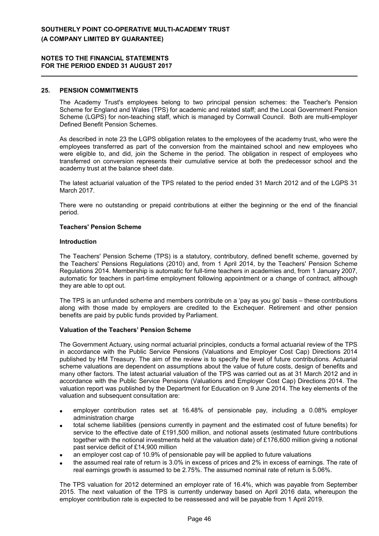#### **25. PENSION COMMITMENTS**

The Academy Trust's employees belong to two principal pension schemes: the Teacher's Pension Scheme for England and Wales (TPS) for academic and related staff; and the Local Government Pension Scheme (LGPS) for non-teaching staff, which is managed by Cornwall Council. Both are multi-employer Defined Benefit Pension Schemes.

As described in note 23 the LGPS obligation relates to the employees of the academy trust, who were the employees transferred as part of the conversion from the maintained school and new employees who were eligible to, and did, join the Scheme in the period. The obligation in respect of employees who transferred on conversion represents their cumulative service at both the predecessor school and the academy trust at the balance sheet date.

The latest actuarial valuation of the TPS related to the period ended 31 March 2012 and of the LGPS 31 March 2017.

There were no outstanding or prepaid contributions at either the beginning or the end of the financial period.

#### **Teachers' Pension Scheme**

#### **Introduction**

The Teachers' Pension Scheme (TPS) is a statutory, contributory, defined benefit scheme, governed by the Teachers' Pensions Regulations (2010) and, from 1 April 2014, by the Teachers' Pension Scheme Regulations 2014. Membership is automatic for full-time teachers in academies and, from 1 January 2007, automatic for teachers in part-time employment following appointment or a change of contract, although they are able to opt out.

The TPS is an unfunded scheme and members contribute on a 'pay as you go' basis – these contributions along with those made by employers are credited to the Exchequer. Retirement and other pension benefits are paid by public funds provided by Parliament.

#### **Valuation of the Teachers' Pension Scheme**

The Government Actuary, using normal actuarial principles, conducts a formal actuarial review of the TPS in accordance with the Public Service Pensions (Valuations and Employer Cost Cap) Directions 2014 published by HM Treasury. The aim of the review is to specify the level of future contributions. Actuarial scheme valuations are dependent on assumptions about the value of future costs, design of benefits and many other factors. The latest actuarial valuation of the TPS was carried out as at 31 March 2012 and in accordance with the Public Service Pensions (Valuations and Employer Cost Cap) Directions 2014. The valuation report was published by the Department for Education on 9 June 2014. The key elements of the valuation and subsequent consultation are:

- employer contribution rates set at 16.48% of pensionable pay, including a 0.08% employer administration charge
- total scheme liabilities (pensions currently in payment and the estimated cost of future benefits) for service to the effective date of £191,500 million, and notional assets (estimated future contributions together with the notional investments held at the valuation date) of £176,600 million giving a notional past service deficit of £14,900 million
- an employer cost cap of 10.9% of pensionable pay will be applied to future valuations
- the assumed real rate of return is 3.0% in excess of prices and 2% in excess of earnings. The rate of real earnings growth is assumed to be 2.75%. The assumed nominal rate of return is 5.06%.

The TPS valuation for 2012 determined an employer rate of 16.4%, which was payable from September 2015. The next valuation of the TPS is currently underway based on April 2016 data, whereupon the employer contribution rate is expected to be reassessed and will be payable from 1 April 2019.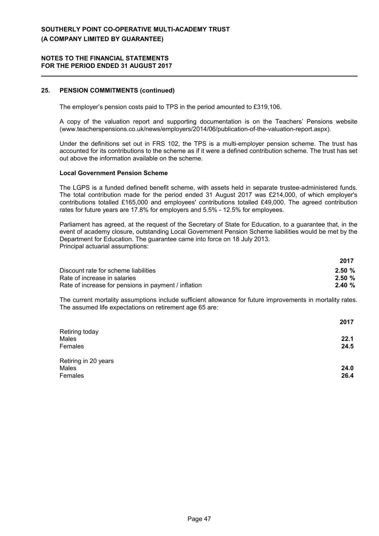#### **NOTES TO THE FINANCIAL STATEMENTS FOR THE PERIOD ENDED 31 AUGUST 2017**

## **25. PENSION COMMITMENTS (continued)**

The employer's pension costs paid to TPS in the period amounted to £319,106.

A copy of the valuation report and supporting documentation is on the Teachers' Pensions website (www.teacherspensions.co.uk/news/employers/2014/06/publication-of-the-valuation-report.aspx).

Under the definitions set out in FRS 102, the TPS is a multi-employer pension scheme. The trust has accounted for its contributions to the scheme as if it were a defined contribution scheme. The trust has set out above the information available on the scheme.

#### **Local Government Pension Scheme**

The LGPS is a funded defined benefit scheme, with assets held in separate trustee-administered funds. The total contribution made for the period ended 31 August 2017 was £214,000, of which employer's contributions totalled £165,000 and employees' contributions totalled £49,000. The agreed contribution rates for future years are 17.8% for employers and 5.5% - 12.5% for employees.

Parliament has agreed, at the request of the Secretary of State for Education, to a guarantee that, in the event of academy closure, outstanding Local Government Pension Scheme liabilities would be met by the Department for Education. The guarantee came into force on 18 July 2013. Principal actuarial assumptions:

|                                                      | 2017      |
|------------------------------------------------------|-----------|
| Discount rate for scheme liabilities                 | $2.50 \%$ |
| Rate of increase in salaries                         | $2.50 \%$ |
| Rate of increase for pensions in payment / inflation | $2.40 \%$ |

The current mortality assumptions include sufficient allowance for future improvements in mortality rates. The assumed life expectations on retirement age 65 are:

|                      | 2017 |
|----------------------|------|
| Retiring today       |      |
| Males                | 22.1 |
| Females              | 24.5 |
| Retiring in 20 years |      |
| Males                | 24.0 |
| Females              | 26.4 |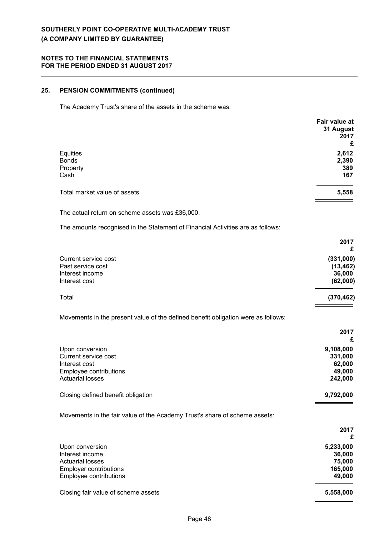### **NOTES TO THE FINANCIAL STATEMENTS FOR THE PERIOD ENDED 31 AUGUST 2017**

## **25. PENSION COMMITMENTS (continued)**

The Academy Trust's share of the assets in the scheme was:

|                              | Fair value at |
|------------------------------|---------------|
|                              | 31 August     |
|                              | 2017          |
|                              | £             |
| Equities                     | 2,612         |
| <b>Bonds</b>                 | 2,390         |
| Property                     | 389           |
| Cash                         | 167           |
| Total market value of assets | 5,558         |
|                              |               |

The actual return on scheme assets was £36,000.

The amounts recognised in the Statement of Financial Activities are as follows:

|                                                                                   | 2017       |
|-----------------------------------------------------------------------------------|------------|
|                                                                                   | £          |
| Current service cost                                                              | (331,000)  |
| Past service cost                                                                 | (13, 462)  |
| Interest income                                                                   | 36,000     |
| Interest cost                                                                     | (62,000)   |
| Total                                                                             | (370, 462) |
| Movements in the present value of the defined benefit obligation were as follows: |            |
|                                                                                   | 2017       |
|                                                                                   | £          |

| Upon conversion                    | 9,108,000 |
|------------------------------------|-----------|
| Current service cost               | 331,000   |
| Interest cost                      | 62,000    |
| Employee contributions             | 49,000    |
| <b>Actuarial losses</b>            | 242.000   |
| Closing defined benefit obligation | 9,792,000 |
|                                    |           |

Movements in the fair value of the Academy Trust's share of scheme assets:

|                                     | 2017<br>£ |
|-------------------------------------|-----------|
| Upon conversion                     | 5,233,000 |
| Interest income                     | 36,000    |
| <b>Actuarial losses</b>             | 75,000    |
| <b>Employer contributions</b>       | 165,000   |
| Employee contributions              | 49,000    |
| Closing fair value of scheme assets | 5,558,000 |